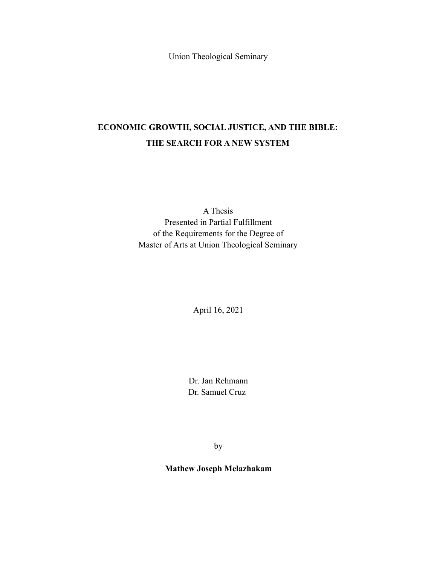Union Theological Seminary

# **ECONOMIC GROWTH, SOCIAL JUSTICE, AND THE BIBLE: THE SEARCH FOR A NEW SYSTEM**

A Thesis Presented in Partial Fulfillment of the Requirements for the Degree of Master of Arts at Union Theological Seminary

April 16, 2021

Dr. Jan Rehmann Dr. Samuel Cruz

by

**Mathew Joseph Melazhakam**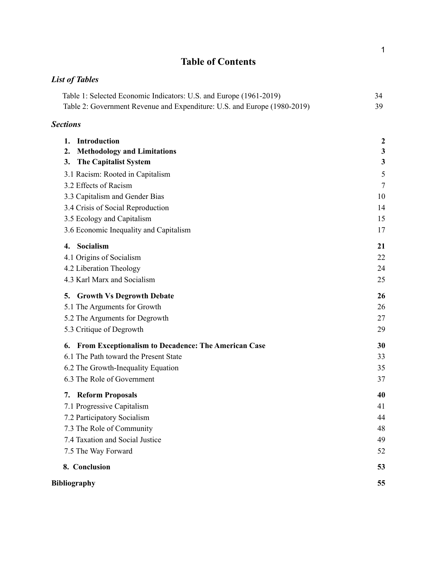# **Table of Contents**

# *List of Tables*

| Table 1: Selected Economic Indicators: U.S. and Europe (1961-2019)       | 34 |
|--------------------------------------------------------------------------|----|
| Table 2: Government Revenue and Expenditure: U.S. and Europe (1980-2019) |    |

# *Sections*

| Introduction<br>1.                                        | $\boldsymbol{2}$ |
|-----------------------------------------------------------|------------------|
| <b>Methodology and Limitations</b><br>2.                  | $\mathbf{3}$     |
| <b>The Capitalist System</b><br>3.                        | 3                |
| 3.1 Racism: Rooted in Capitalism                          | 5                |
| 3.2 Effects of Racism                                     | 7                |
| 3.3 Capitalism and Gender Bias                            | 10               |
| 3.4 Crisis of Social Reproduction                         | 14               |
| 3.5 Ecology and Capitalism                                | 15               |
| 3.6 Economic Inequality and Capitalism                    | 17               |
| Socialism<br>4.                                           | 21               |
| 4.1 Origins of Socialism                                  | 22               |
| 4.2 Liberation Theology                                   | 24               |
| 4.3 Karl Marx and Socialism                               | 25               |
| <b>Growth Vs Degrowth Debate</b><br>5.                    | 26               |
| 5.1 The Arguments for Growth                              | 26               |
| 5.2 The Arguments for Degrowth                            | 27               |
| 5.3 Critique of Degrowth                                  | 29               |
| From Exceptionalism to Decadence: The American Case<br>6. | 30               |
| 6.1 The Path toward the Present State                     | 33               |
| 6.2 The Growth-Inequality Equation                        | 35               |
| 6.3 The Role of Government                                | 37               |
| <b>Reform Proposals</b><br>7.                             | 40               |
| 7.1 Progressive Capitalism                                | 41               |
| 7.2 Participatory Socialism                               | 44               |
| 7.3 The Role of Community                                 | 48               |
| 7.4 Taxation and Social Justice                           | 49               |
| 7.5 The Way Forward                                       | 52               |
| 8. Conclusion                                             | 53               |
| Bibliography                                              | 55               |

1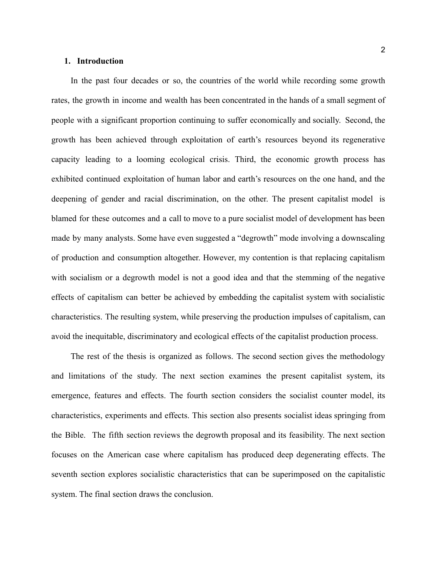# <span id="page-2-0"></span>**1. Introduction**

In the past four decades or so, the countries of the world while recording some growth rates, the growth in income and wealth has been concentrated in the hands of a small segment of people with a significant proportion continuing to suffer economically and socially. Second, the growth has been achieved through exploitation of earth's resources beyond its regenerative capacity leading to a looming ecological crisis. Third, the economic growth process has exhibited continued exploitation of human labor and earth's resources on the one hand, and the deepening of gender and racial discrimination, on the other. The present capitalist model is blamed for these outcomes and a call to move to a pure socialist model of development has been made by many analysts. Some have even suggested a "degrowth" mode involving a downscaling of production and consumption altogether. However, my contention is that replacing capitalism with socialism or a degrowth model is not a good idea and that the stemming of the negative effects of capitalism can better be achieved by embedding the capitalist system with socialistic characteristics. The resulting system, while preserving the production impulses of capitalism, can avoid the inequitable, discriminatory and ecological effects of the capitalist production process.

The rest of the thesis is organized as follows. The second section gives the methodology and limitations of the study. The next section examines the present capitalist system, its emergence, features and effects. The fourth section considers the socialist counter model, its characteristics, experiments and effects. This section also presents socialist ideas springing from the Bible. The fifth section reviews the degrowth proposal and its feasibility. The next section focuses on the American case where capitalism has produced deep degenerating effects. The seventh section explores socialistic characteristics that can be superimposed on the capitalistic system. The final section draws the conclusion.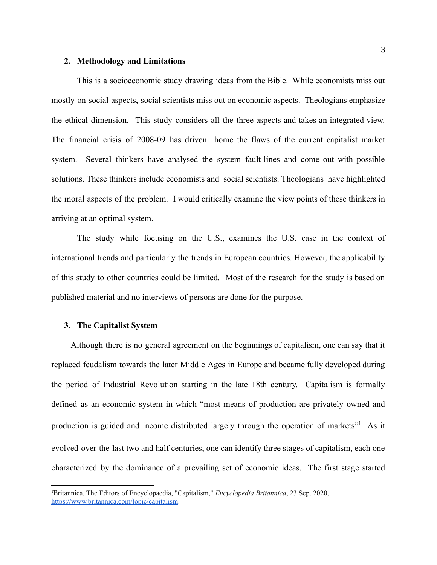#### <span id="page-3-0"></span>**2. Methodology and Limitations**

This is a socioeconomic study drawing ideas from the Bible. While economists miss out mostly on social aspects, social scientists miss out on economic aspects. Theologians emphasize the ethical dimension. This study considers all the three aspects and takes an integrated view. The financial crisis of 2008-09 has driven home the flaws of the current capitalist market system. Several thinkers have analysed the system fault-lines and come out with possible solutions. These thinkers include economists and social scientists. Theologians have highlighted the moral aspects of the problem. I would critically examine the view points of these thinkers in arriving at an optimal system.

The study while focusing on the U.S., examines the U.S. case in the context of international trends and particularly the trends in European countries. However, the applicability of this study to other countries could be limited. Most of the research for the study is based on published material and no interviews of persons are done for the purpose.

# <span id="page-3-1"></span>**3. The Capitalist System**

Although there is no general agreement on the beginnings of capitalism, one can say that it replaced feudalism towards the later Middle Ages in Europe and became fully developed during the period of Industrial Revolution starting in the late 18th century. Capitalism is formally defined as an economic system in which "most means of production are privately owned and production is guided and income distributed largely through the operation of markets"<sup>1</sup> As it evolved over the last two and half centuries, one can identify three stages of capitalism, each one characterized by the dominance of a prevailing set of economic ideas. The first stage started

<sup>1</sup>Britannica, The Editors of Encyclopaedia, "Capitalism," *Encyclopedia Britannica*, 23 Sep. 2020, [https://www.britannica.com/topic/capitalism.](https://www.britannica.com/topic/capitalism)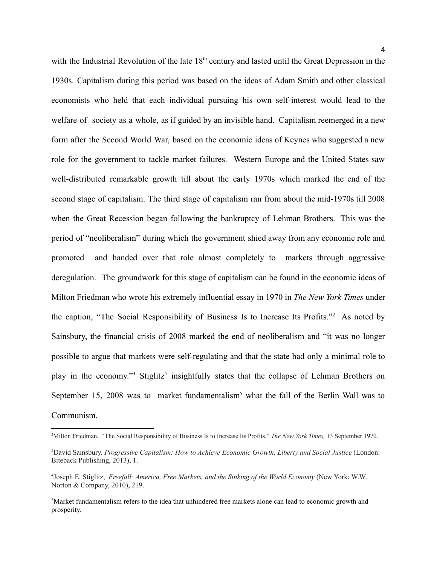with the Industrial Revolution of the late 18<sup>th</sup> century and lasted until the Great Depression in the 1930s. Capitalism during this period was based on the ideas of Adam Smith and other classical economists who held that each individual pursuing his own self-interest would lead to the welfare of society as a whole, as if guided by an invisible hand. Capitalism reemerged in a new form after the Second World War, based on the economic ideas of Keynes who suggested a new role for the government to tackle market failures. Western Europe and the United States saw well-distributed remarkable growth till about the early 1970s which marked the end of the second stage of capitalism. The third stage of capitalism ran from about the mid-1970s till 2008 when the Great Recession began following the bankruptcy of Lehman Brothers. This was the period of "neoliberalism" during which the government shied away from any economic role and promoted and handed over that role almost completely to markets through aggressive deregulation. The groundwork for this stage of capitalism can be found in the economic ideas of Milton Friedman who wrote his extremely influential essay in 1970 in *The New York Times* under the caption, "The Social Responsibility of Business Is to Increase Its Profits."<sup>2</sup> As noted by Sainsbury, the financial crisis of 2008 marked the end of neoliberalism and "it was no longer possible to argue that markets were self-regulating and that the state had only a minimal role to play in the economy."<sup>3</sup> Stiglitz<sup>4</sup> insightfully states that the collapse of Lehman Brothers on September 15, 2008 was to market fundamentalism<sup>5</sup> what the fall of the Berlin Wall was to Communism.

<sup>2</sup>Milton Friedman, "The Social Responsibility of Business Is to Increase Its Profits," *The New York Times,* 13 September 1970.

<sup>3</sup>David Sainsbury. *Progressive Capitalism: How to Achieve Economic Growth, Liberty and Social Justice* (London: Biteback Publishing, 2013), 1.

<sup>4</sup>Joseph E. Stiglitz, *Freefall: America, Free Markets, and the Sinking of the World Economy* (New York: W.W. Norton & Company, 2010), 219.

<sup>5</sup>Market fundamentalism refers to the idea that unhindered free markets alone can lead to economic growth and prosperity.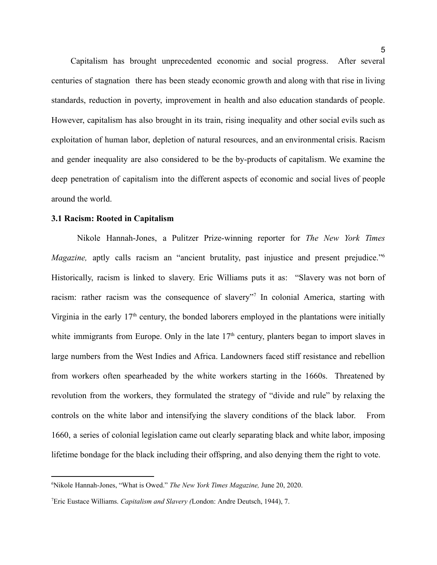Capitalism has brought unprecedented economic and social progress. After several centuries of stagnation there has been steady economic growth and along with that rise in living standards, reduction in poverty, improvement in health and also education standards of people. However, capitalism has also brought in its train, rising inequality and other social evils such as exploitation of human labor, depletion of natural resources, and an environmental crisis. Racism and gender inequality are also considered to be the by-products of capitalism. We examine the deep penetration of capitalism into the different aspects of economic and social lives of people around the world.

# <span id="page-5-0"></span>**3.1 Racism: Rooted in Capitalism**

Nikole Hannah-Jones, a Pulitzer Prize-winning reporter for *The New York Times Magazine*, aptly calls racism an "ancient brutality, past injustice and present prejudice."<sup>6</sup> Historically, racism is linked to slavery. Eric Williams puts it as: "Slavery was not born of racism: rather racism was the consequence of slavery"<sup>7</sup> In colonial America, starting with Virginia in the early  $17<sup>th</sup>$  century, the bonded laborers employed in the plantations were initially white immigrants from Europe. Only in the late  $17<sup>th</sup>$  century, planters began to import slaves in large numbers from the West Indies and Africa. Landowners faced stiff resistance and rebellion from workers often spearheaded by the white workers starting in the 1660s. Threatened by revolution from the workers, they formulated the strategy of "divide and rule" by relaxing the controls on the white labor and intensifying the slavery conditions of the black labor. From 1660, a series of colonial legislation came out clearly separating black and white labor, imposing lifetime bondage for the black including their offspring, and also denying them the right to vote.

<sup>6</sup>Nikole Hannah-Jones, "What is Owed." *The New York Times Magazine,* June 20, 2020.

<sup>7</sup>Eric Eustace Williams. *Capitalism and Slavery (*London: Andre Deutsch, 1944), 7.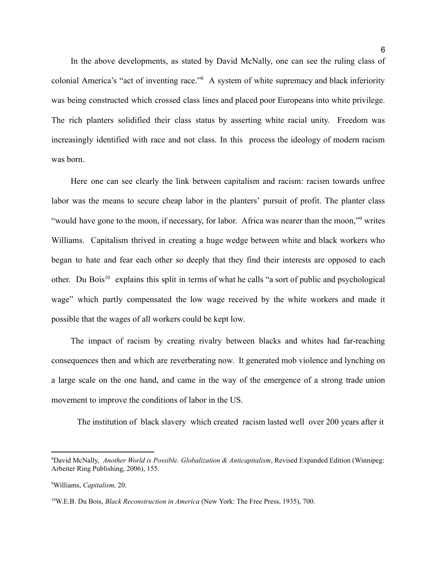In the above developments, as stated by David McNally, one can see the ruling class of colonial America's "act of inventing race."<sup>8</sup> A system of white supremacy and black inferiority was being constructed which crossed class lines and placed poor Europeans into white privilege. The rich planters solidified their class status by asserting white racial unity. Freedom was increasingly identified with race and not class. In this process the ideology of modern racism was born.

Here one can see clearly the link between capitalism and racism: racism towards unfree labor was the means to secure cheap labor in the planters' pursuit of profit. The planter class "would have gone to the moon, if necessary, for labor. Africa was nearer than the moon,"<sup>9</sup> writes Williams. Capitalism thrived in creating a huge wedge between white and black workers who began to hate and fear each other so deeply that they find their interests are opposed to each other. Du Bois<sup>10</sup> explains this split in terms of what he calls "a sort of public and psychological wage" which partly compensated the low wage received by the white workers and made it possible that the wages of all workers could be kept low.

The impact of racism by creating rivalry between blacks and whites had far-reaching consequences then and which are reverberating now. It generated mob violence and lynching on a large scale on the one hand, and came in the way of the emergence of a strong trade union movement to improve the conditions of labor in the US.

The institution of black slavery which created racism lasted well over 200 years after it

<sup>8</sup>David McNally, *Another World is Possible. Globalization & Anticapitalism*, Revised Expanded Edition (Winnipeg: Arbeiter Ring Publishing, 2006), 155.

<sup>9</sup>Williams, *Capitalism,* 20.

<sup>10</sup>W.E.B. Du Bois, *Black Reconstruction in America* (New York: The Free Press, 1935), 700.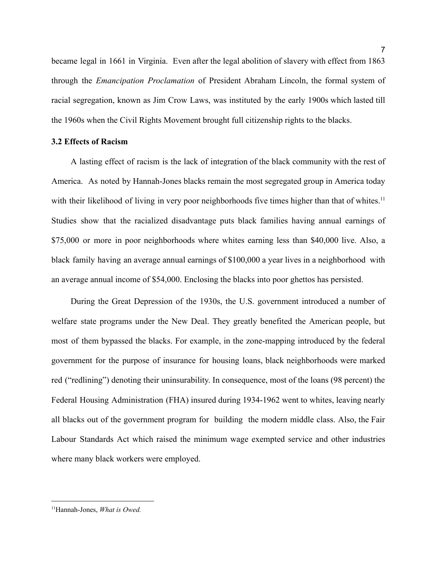became legal in 1661 in Virginia. Even after the legal abolition of slavery with effect from 1863 through the *Emancipation Proclamation* of President Abraham Lincoln, the formal system of racial segregation, known as Jim Crow Laws, was instituted by the early 1900s which lasted till the 1960s when the Civil Rights Movement brought full citizenship rights to the blacks.

# <span id="page-7-0"></span>**3.2 Effects of Racism**

A lasting effect of racism is the lack of integration of the black community with the rest of America. As noted by Hannah-Jones blacks remain the most segregated group in America today with their likelihood of living in very poor neighborhoods five times higher than that of whites.<sup>11</sup> Studies show that the racialized disadvantage puts black families having annual earnings of \$75,000 or more in poor neighborhoods where whites earning less than \$40,000 live. Also, a black family having an average annual earnings of \$100,000 a year lives in a neighborhood with an average annual income of \$54,000. Enclosing the blacks into poor ghettos has persisted.

During the Great Depression of the 1930s, the U.S. government introduced a number of welfare state programs under the New Deal. They greatly benefited the American people, but most of them bypassed the blacks. For example, in the zone-mapping introduced by the federal government for the purpose of insurance for housing loans, black neighborhoods were marked red ("redlining") denoting their uninsurability. In consequence, most of the loans (98 percent) the Federal Housing Administration (FHA) insured during 1934-1962 went to whites, leaving nearly all blacks out of the government program for building the modern middle class. Also, the Fair Labour Standards Act which raised the minimum wage exempted service and other industries where many black workers were employed.

<sup>11</sup>Hannah-Jones, *What is Owed.*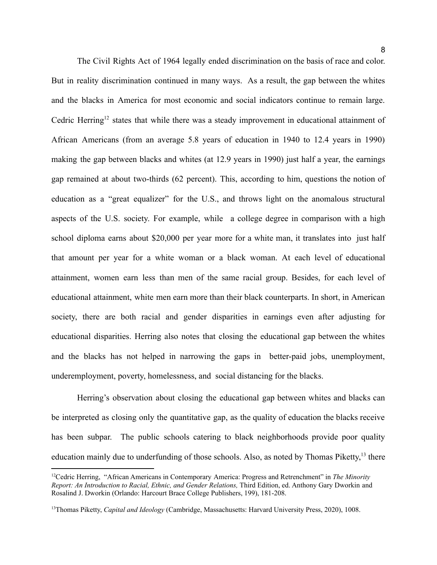The Civil Rights Act of 1964 legally ended discrimination on the basis of race and color. But in reality discrimination continued in many ways. As a result, the gap between the whites and the blacks in America for most economic and social indicators continue to remain large. Cedric Herring<sup>12</sup> states that while there was a steady improvement in educational attainment of African Americans (from an average 5.8 years of education in 1940 to 12.4 years in 1990) making the gap between blacks and whites (at 12.9 years in 1990) just half a year, the earnings gap remained at about two-thirds (62 percent). This, according to him, questions the notion of education as a "great equalizer" for the U.S., and throws light on the anomalous structural aspects of the U.S. society. For example, while a college degree in comparison with a high school diploma earns about \$20,000 per year more for a white man, it translates into just half that amount per year for a white woman or a black woman. At each level of educational attainment, women earn less than men of the same racial group. Besides, for each level of educational attainment, white men earn more than their black counterparts. In short, in American society, there are both racial and gender disparities in earnings even after adjusting for educational disparities. Herring also notes that closing the educational gap between the whites and the blacks has not helped in narrowing the gaps in better-paid jobs, unemployment, underemployment, poverty, homelessness, and social distancing for the blacks.

Herring's observation about closing the educational gap between whites and blacks can be interpreted as closing only the quantitative gap, as the quality of education the blacks receive has been subpar. The public schools catering to black neighborhoods provide poor quality education mainly due to underfunding of those schools. Also, as noted by Thomas Piketty,<sup>13</sup> there

<sup>12</sup>Cedric Herring, "African Americans in Contemporary America: Progress and Retrenchment" in *The Minority Report: An Introduction to Racial, Ethnic, and Gender Relations,* Third Edition, ed. Anthony Gary Dworkin and Rosalind J. Dworkin (Orlando: Harcourt Brace College Publishers, 199), 181-208.

<sup>13</sup>Thomas Piketty, *Capital and Ideology* (Cambridge, Massachusetts: Harvard University Press, 2020), 1008.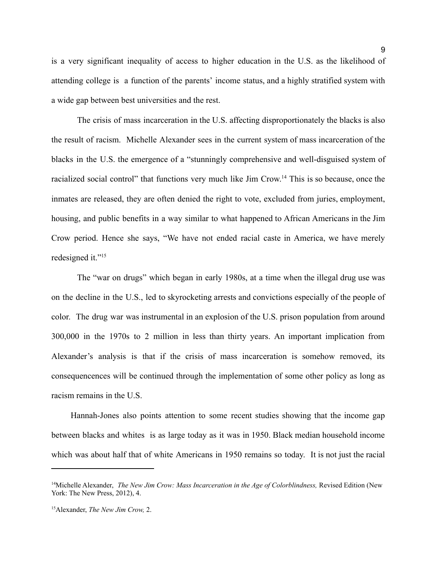is a very significant inequality of access to higher education in the U.S. as the likelihood of attending college is a function of the parents' income status, and a highly stratified system with a wide gap between best universities and the rest.

The crisis of mass incarceration in the U.S. affecting disproportionately the blacks is also the result of racism. Michelle Alexander sees in the current system of mass incarceration of the blacks in the U.S. the emergence of a "stunningly comprehensive and well-disguised system of racialized social control" that functions very much like Jim Crow.<sup>14</sup> This is so because, once the inmates are released, they are often denied the right to vote, excluded from juries, employment, housing, and public benefits in a way similar to what happened to African Americans in the Jim Crow period. Hence she says, "We have not ended racial caste in America, we have merely redesigned it."<sup>15</sup>

The "war on drugs" which began in early 1980s, at a time when the illegal drug use was on the decline in the U.S., led to skyrocketing arrests and convictions especially of the people of color. The drug war was instrumental in an explosion of the U.S. prison population from around 300,000 in the 1970s to 2 million in less than thirty years. An important implication from Alexander's analysis is that if the crisis of mass incarceration is somehow removed, its consequencences will be continued through the implementation of some other policy as long as racism remains in the U.S.

Hannah-Jones also points attention to some recent studies showing that the income gap between blacks and whites is as large today as it was in 1950. Black median household income which was about half that of white Americans in 1950 remains so today. It is not just the racial

<sup>14</sup>Michelle Alexander, *The New Jim Crow: Mass Incarceration in the Age of Colorblindness,* Revised Edition (New York: The New Press, 2012), 4.

<sup>15</sup>Alexander, *The New Jim Crow,* 2.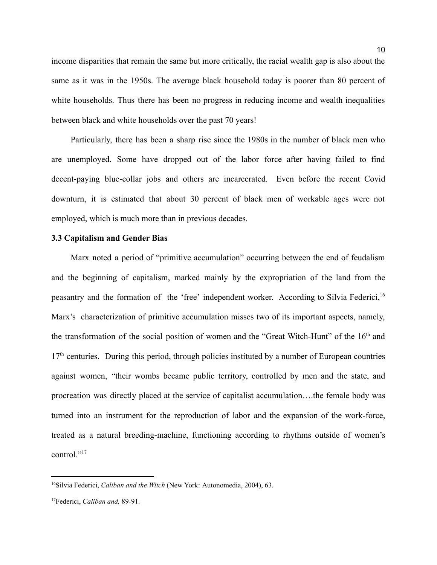income disparities that remain the same but more critically, the racial wealth gap is also about the same as it was in the 1950s. The average black household today is poorer than 80 percent of white households. Thus there has been no progress in reducing income and wealth inequalities between black and white households over the past 70 years!

Particularly, there has been a sharp rise since the 1980s in the number of black men who are unemployed. Some have dropped out of the labor force after having failed to find decent-paying blue-collar jobs and others are incarcerated. Even before the recent Covid downturn, it is estimated that about 30 percent of black men of workable ages were not employed, which is much more than in previous decades.

#### <span id="page-10-0"></span>**3.3 Capitalism and Gender Bias**

Marx noted a period of "primitive accumulation" occurring between the end of feudalism and the beginning of capitalism, marked mainly by the expropriation of the land from the peasantry and the formation of the 'free' independent worker. According to Silvia Federici,<sup>16</sup> Marx's characterization of primitive accumulation misses two of its important aspects, namely, the transformation of the social position of women and the "Great Witch-Hunt" of the  $16<sup>th</sup>$  and  $17<sup>th</sup>$  centuries. During this period, through policies instituted by a number of European countries against women, "their wombs became public territory, controlled by men and the state, and procreation was directly placed at the service of capitalist accumulation….the female body was turned into an instrument for the reproduction of labor and the expansion of the work-force, treated as a natural breeding-machine, functioning according to rhythms outside of women's control."<sup>17</sup>

<sup>16</sup>Silvia Federici, *Caliban and the Witch* (New York: Autonomedia, 2004), 63.

<sup>17</sup>Federici, *Caliban and,* 89-91.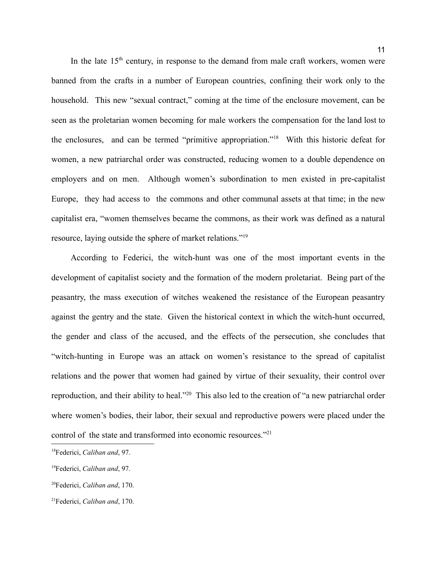In the late  $15<sup>th</sup>$  century, in response to the demand from male craft workers, women were banned from the crafts in a number of European countries, confining their work only to the household. This new "sexual contract," coming at the time of the enclosure movement, can be seen as the proletarian women becoming for male workers the compensation for the land lost to the enclosures, and can be termed "primitive appropriation."<sup>18</sup> With this historic defeat for women, a new patriarchal order was constructed, reducing women to a double dependence on employers and on men. Although women's subordination to men existed in pre-capitalist Europe, they had access to the commons and other communal assets at that time; in the new capitalist era, "women themselves became the commons, as their work was defined as a natural resource, laying outside the sphere of market relations."<sup>19</sup>

According to Federici, the witch-hunt was one of the most important events in the development of capitalist society and the formation of the modern proletariat. Being part of the peasantry, the mass execution of witches weakened the resistance of the European peasantry against the gentry and the state. Given the historical context in which the witch-hunt occurred, the gender and class of the accused, and the effects of the persecution, she concludes that "witch-hunting in Europe was an attack on women's resistance to the spread of capitalist relations and the power that women had gained by virtue of their sexuality, their control over reproduction, and their ability to heal."<sup>20</sup> This also led to the creation of "a new patriarchal order where women's bodies, their labor, their sexual and reproductive powers were placed under the control of the state and transformed into economic resources."<sup>21</sup>

<sup>18</sup>Federici, *Caliban and*, 97.

<sup>19</sup>Federici, *Caliban and*, 97.

<sup>20</sup>Federici, *Caliban and*, 170.

<sup>21</sup>Federici, *Caliban and*, 170.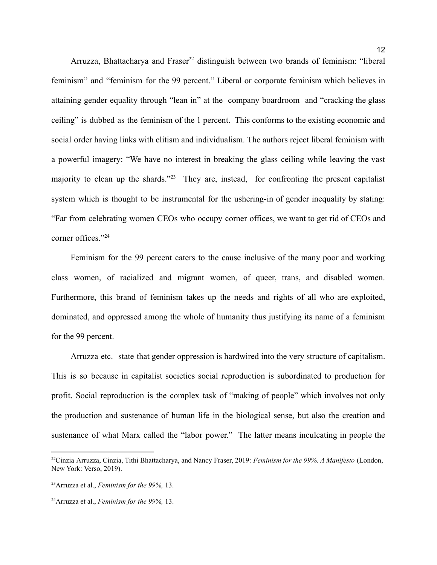Arruzza, Bhattacharya and Fraser<sup>22</sup> distinguish between two brands of feminism: "liberal feminism" and "feminism for the 99 percent." Liberal or corporate feminism which believes in attaining gender equality through "lean in" at the company boardroom and "cracking the glass ceiling" is dubbed as the feminism of the 1 percent. This conforms to the existing economic and social order having links with elitism and individualism. The authors reject liberal feminism with a powerful imagery: "We have no interest in breaking the glass ceiling while leaving the vast majority to clean up the shards."<sup>23</sup> They are, instead, for confronting the present capitalist system which is thought to be instrumental for the ushering-in of gender inequality by stating: "Far from celebrating women CEOs who occupy corner offices, we want to get rid of CEOs and corner offices."<sup>24</sup>

Feminism for the 99 percent caters to the cause inclusive of the many poor and working class women, of racialized and migrant women, of queer, trans, and disabled women. Furthermore, this brand of feminism takes up the needs and rights of all who are exploited, dominated, and oppressed among the whole of humanity thus justifying its name of a feminism for the 99 percent.

Arruzza etc. state that gender oppression is hardwired into the very structure of capitalism. This is so because in capitalist societies social reproduction is subordinated to production for profit. Social reproduction is the complex task of "making of people" which involves not only the production and sustenance of human life in the biological sense, but also the creation and sustenance of what Marx called the "labor power." The latter means inculcating in people the

<sup>22</sup>Cinzia Arruzza, Cinzia, Tithi Bhattacharya, and Nancy Fraser, 2019: *Feminism for the 99%. A Manifesto* (London, New York: Verso, 2019).

<sup>23</sup>Arruzza et al., *Feminism for the 99%,* 13.

<sup>24</sup>Arruzza et al., *Feminism for the 99%,* 13.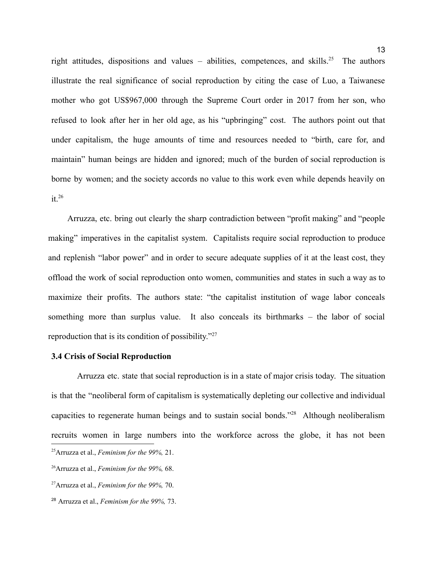right attitudes, dispositions and values – abilities, competences, and skills.<sup>25</sup> The authors illustrate the real significance of social reproduction by citing the case of Luo, a Taiwanese mother who got US\$967,000 through the Supreme Court order in 2017 from her son, who refused to look after her in her old age, as his "upbringing" cost. The authors point out that under capitalism, the huge amounts of time and resources needed to "birth, care for, and maintain" human beings are hidden and ignored; much of the burden of social reproduction is borne by women; and the society accords no value to this work even while depends heavily on  $it^{26}$ 

Arruzza, etc. bring out clearly the sharp contradiction between "profit making" and "people making" imperatives in the capitalist system. Capitalists require social reproduction to produce and replenish "labor power" and in order to secure adequate supplies of it at the least cost, they offload the work of social reproduction onto women, communities and states in such a way as to maximize their profits. The authors state: "the capitalist institution of wage labor conceals something more than surplus value. It also conceals its birthmarks – the labor of social reproduction that is its condition of possibility."<sup>27</sup>

# <span id="page-13-0"></span>**3.4 Crisis of Social Reproduction**

Arruzza etc. state that social reproduction is in a state of major crisis today. The situation is that the "neoliberal form of capitalism is systematically depleting our collective and individual capacities to regenerate human beings and to sustain social bonds."<sup>28</sup> Although neoliberalism recruits women in large numbers into the workforce across the globe, it has not been <sup>25</sup>Arruzza et al., *Feminism for the 99%,* 21.

<sup>26</sup>Arruzza et al., *Feminism for the 99%,* 68.

<sup>27</sup>Arruzza et al., *Feminism for the 99%,* 70.

<sup>28</sup> Arruzza et al., *Feminism for the 99%,* 73.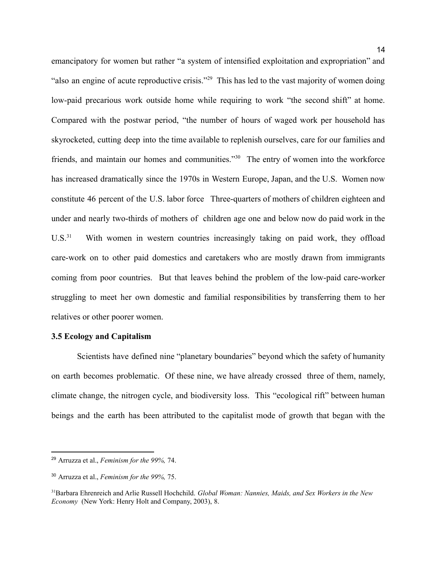emancipatory for women but rather "a system of intensified exploitation and expropriation" and "also an engine of acute reproductive crisis."<sup>29</sup> This has led to the vast majority of women doing low-paid precarious work outside home while requiring to work "the second shift" at home. Compared with the postwar period, "the number of hours of waged work per household has skyrocketed, cutting deep into the time available to replenish ourselves, care for our families and friends, and maintain our homes and communities."<sup>30</sup> The entry of women into the workforce has increased dramatically since the 1970s in Western Europe, Japan, and the U.S. Women now constitute 46 percent of the U.S. labor force Three-quarters of mothers of children eighteen and under and nearly two-thirds of mothers of children age one and below now do paid work in the  $U.S.<sup>31</sup>$  With women in western countries increasingly taking on paid work, they offload care-work on to other paid domestics and caretakers who are mostly drawn from immigrants coming from poor countries. But that leaves behind the problem of the low-paid care-worker struggling to meet her own domestic and familial responsibilities by transferring them to her relatives or other poorer women.

# <span id="page-14-0"></span>**3.5 Ecology and Capitalism**

Scientists have defined nine "planetary boundaries" beyond which the safety of humanity on earth becomes problematic. Of these nine, we have already crossed three of them, namely, climate change, the nitrogen cycle, and biodiversity loss. This "ecological rift" between human beings and the earth has been attributed to the capitalist mode of growth that began with the

<sup>29</sup> Arruzza et al., *Feminism for the 99%,* 74.

<sup>30</sup> Arruzza et al., *Feminism for the 99%,* 75.

<sup>31</sup>Barbara Ehrenreich and Arlie Russell Hochchild. *Global Woman: Nannies, Maids, and Sex Workers in the New Economy* (New York: Henry Holt and Company, 2003), 8.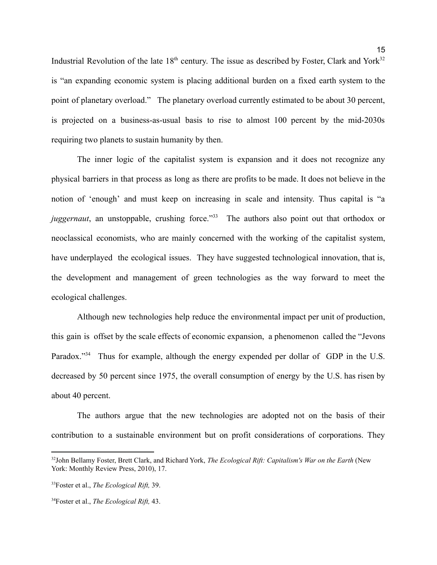Industrial Revolution of the late  $18<sup>th</sup>$  century. The issue as described by Foster, Clark and York<sup>32</sup> is "an expanding economic system is placing additional burden on a fixed earth system to the point of planetary overload." The planetary overload currently estimated to be about 30 percent, is projected on a business-as-usual basis to rise to almost 100 percent by the mid-2030s requiring two planets to sustain humanity by then.

The inner logic of the capitalist system is expansion and it does not recognize any physical barriers in that process as long as there are profits to be made. It does not believe in the notion of 'enough' and must keep on increasing in scale and intensity. Thus capital is "a *juggernaut*, an unstoppable, crushing force."<sup>33</sup> The authors also point out that orthodox or neoclassical economists, who are mainly concerned with the working of the capitalist system, have underplayed the ecological issues. They have suggested technological innovation, that is, the development and management of green technologies as the way forward to meet the ecological challenges.

Although new technologies help reduce the environmental impact per unit of production, this gain is offset by the scale effects of economic expansion, a phenomenon called the "Jevons Paradox."<sup>34</sup> Thus for example, although the energy expended per dollar of GDP in the U.S. decreased by 50 percent since 1975, the overall consumption of energy by the U.S. has risen by about 40 percent.

The authors argue that the new technologies are adopted not on the basis of their contribution to a sustainable environment but on profit considerations of corporations. They

<sup>32</sup>John Bellamy Foster, Brett Clark, and Richard York, *The Ecological Rift: Capitalism's War on the Earth* (New York: Monthly Review Press, 2010), 17.

<sup>33</sup>Foster et al., *The Ecological Rift,* 39.

<sup>34</sup>Foster et al., *The Ecological Rift,* 43.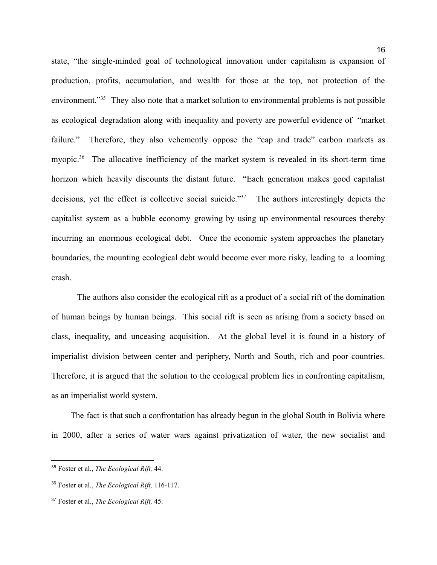state, "the single-minded goal of technological innovation under capitalism is expansion of production, profits, accumulation, and wealth for those at the top, not protection of the environment."<sup>35</sup> They also note that a market solution to environmental problems is not possible as ecological degradation along with inequality and poverty are powerful evidence of "market failure." Therefore, they also vehemently oppose the "cap and trade" carbon markets as myopic.<sup>36</sup> The allocative inefficiency of the market system is revealed in its short-term time horizon which heavily discounts the distant future. "Each generation makes good capitalist decisions, yet the effect is collective social suicide."<sup>37</sup> The authors interestingly depicts the capitalist system as a bubble economy growing by using up environmental resources thereby incurring an enormous ecological debt. Once the economic system approaches the planetary boundaries, the mounting ecological debt would become ever more risky, leading to a looming

crash.

The authors also consider the ecological rift as a product of a social rift of the domination of human beings by human beings. This social rift is seen as arising from a society based on class, inequality, and unceasing acquisition. At the global level it is found in a history of imperialist division between center and periphery, North and South, rich and poor countries. Therefore, it is argued that the solution to the ecological problem lies in confronting capitalism, as an imperialist world system.

The fact is that such a confrontation has already begun in the global South in Bolivia where in 2000, after a series of water wars against privatization of water, the new socialist and

<sup>35</sup> Foster et al., *The Ecological Rift,* 44.

<sup>36</sup> Foster et al., *The Ecological Rift,* 116-117.

<sup>37</sup> Foster et al., *The Ecological Rift,* 45.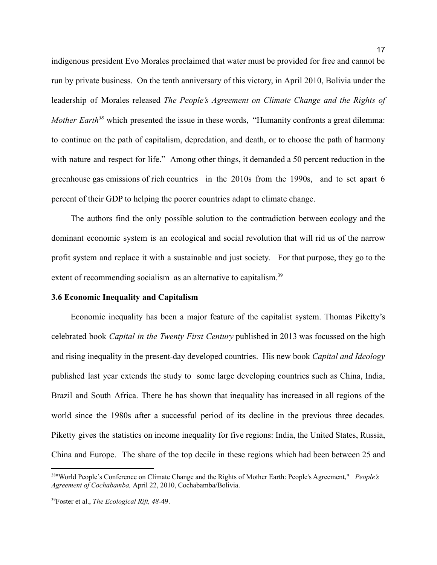indigenous president Evo Morales proclaimed that water must be provided for free and cannot be run by private business. On the tenth anniversary of this victory, in April 2010, Bolivia under the leadership of Morales released *The People's Agreement on Climate Change and the Rights of Mother Earth*<sup>38</sup> which presented the issue in these words, "Humanity confronts a great dilemma: to continue on the path of capitalism, depredation, and death, or to choose the path of harmony with nature and respect for life." Among other things, it demanded a 50 percent reduction in the greenhouse gas emissions of rich countries in the 2010s from the 1990s, and to set apart 6 percent of their GDP to helping the poorer countries adapt to climate change.

The authors find the only possible solution to the contradiction between ecology and the dominant economic system is an ecological and social revolution that will rid us of the narrow profit system and replace it with a sustainable and just society. For that purpose, they go to the extent of recommending socialism as an alternative to capitalism.<sup>39</sup>

#### <span id="page-17-0"></span>**3.6 Economic Inequality and Capitalism**

Economic inequality has been a major feature of the capitalist system. Thomas Piketty's celebrated book *Capital in the Twenty First Century* published in 2013 was focussed on the high and rising inequality in the present-day developed countries. His new book *Capital and Ideology* published last year extends the study to some large developing countries such as China, India, Brazil and South Africa. There he has shown that inequality has increased in all regions of the world since the 1980s after a successful period of its decline in the previous three decades. Piketty gives the statistics on income inequality for five regions: India, the United States, Russia, China and Europe. The share of the top decile in these regions which had been between 25 and

<sup>38</sup>"World People's Conference on Climate Change and the Rights of Mother Earth: People's Agreement," *People's Agreement of Cochabamba,* April 22, 2010, Cochabamba/Bolivia.

<sup>39</sup>Foster et al., *The Ecological Rift, 48-*49.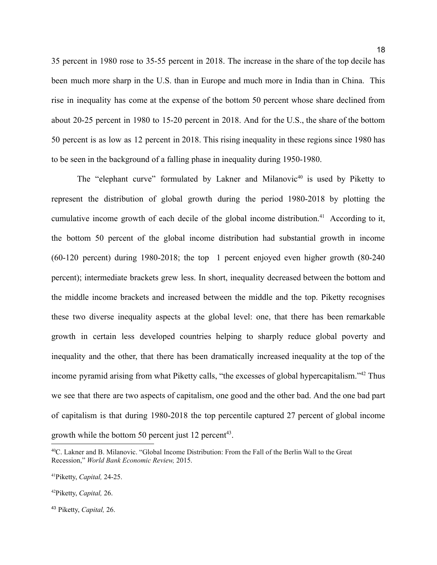35 percent in 1980 rose to 35-55 percent in 2018. The increase in the share of the top decile has been much more sharp in the U.S. than in Europe and much more in India than in China. This rise in inequality has come at the expense of the bottom 50 percent whose share declined from about 20-25 percent in 1980 to 15-20 percent in 2018. And for the U.S., the share of the bottom 50 percent is as low as 12 percent in 2018. This rising inequality in these regions since 1980 has to be seen in the background of a falling phase in inequality during 1950-1980.

18

The "elephant curve" formulated by Lakner and Milanovic<sup>40</sup> is used by Piketty to represent the distribution of global growth during the period 1980-2018 by plotting the cumulative income growth of each decile of the global income distribution.<sup>41</sup> According to it, the bottom 50 percent of the global income distribution had substantial growth in income (60-120 percent) during 1980-2018; the top 1 percent enjoyed even higher growth (80-240 percent); intermediate brackets grew less. In short, inequality decreased between the bottom and the middle income brackets and increased between the middle and the top. Piketty recognises these two diverse inequality aspects at the global level: one, that there has been remarkable growth in certain less developed countries helping to sharply reduce global poverty and inequality and the other, that there has been dramatically increased inequality at the top of the income pyramid arising from what Piketty calls, "the excesses of global hypercapitalism."<sup>42</sup> Thus we see that there are two aspects of capitalism, one good and the other bad. And the one bad part of capitalism is that during 1980-2018 the top percentile captured 27 percent of global income growth while the bottom 50 percent just 12 percent<sup>43</sup>.

<sup>40</sup>C. Lakner and B. Milanovic. "Global Income Distribution: From the Fall of the Berlin Wall to the Great Recession," *World Bank Economic Review,* 2015.

<sup>41</sup>Piketty, *Capital,* 24-25.

<sup>42</sup>Piketty, *Capital,* 26.

<sup>43</sup> Piketty, *Capital,* 26.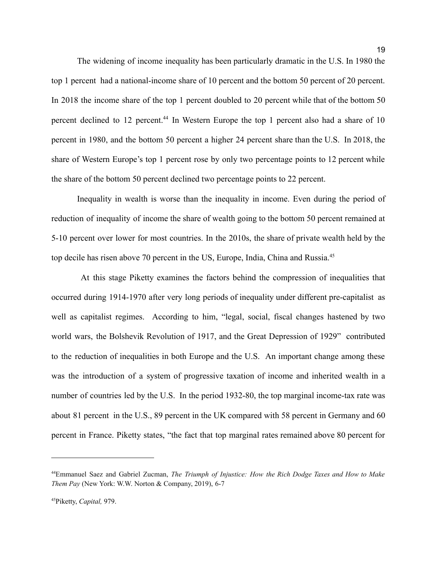The widening of income inequality has been particularly dramatic in the U.S. In 1980 the top 1 percent had a national-income share of 10 percent and the bottom 50 percent of 20 percent. In 2018 the income share of the top 1 percent doubled to 20 percent while that of the bottom 50 percent declined to 12 percent.<sup>44</sup> In Western Europe the top 1 percent also had a share of 10 percent in 1980, and the bottom 50 percent a higher 24 percent share than the U.S. In 2018, the share of Western Europe's top 1 percent rose by only two percentage points to 12 percent while the share of the bottom 50 percent declined two percentage points to 22 percent.

Inequality in wealth is worse than the inequality in income. Even during the period of reduction of inequality of income the share of wealth going to the bottom 50 percent remained at 5-10 percent over lower for most countries. In the 2010s, the share of private wealth held by the top decile has risen above 70 percent in the US, Europe, India, China and Russia.<sup>45</sup>

At this stage Piketty examines the factors behind the compression of inequalities that occurred during 1914-1970 after very long periods of inequality under different pre-capitalist as well as capitalist regimes. According to him, "legal, social, fiscal changes hastened by two world wars, the Bolshevik Revolution of 1917, and the Great Depression of 1929" contributed to the reduction of inequalities in both Europe and the U.S. An important change among these was the introduction of a system of progressive taxation of income and inherited wealth in a number of countries led by the U.S. In the period 1932-80, the top marginal income-tax rate was about 81 percent in the U.S., 89 percent in the UK compared with 58 percent in Germany and 60 percent in France. Piketty states, "the fact that top marginal rates remained above 80 percent for

<sup>44</sup>Emmanuel Saez and Gabriel Zucman, *The Triumph of Injustice: How the Rich Dodge Taxes and How to Make Them Pay* (New York: W.W. Norton & Company, 2019), 6-7

<sup>45</sup>Piketty, *Capital,* 979.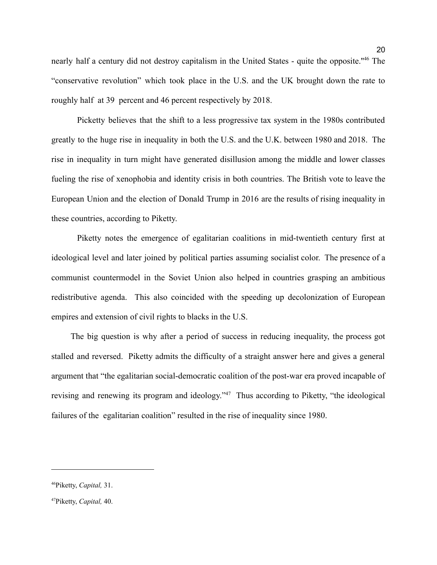nearly half a century did not destroy capitalism in the United States - quite the opposite.''<sup>46</sup> The "conservative revolution" which took place in the U.S. and the UK brought down the rate to roughly half at 39 percent and 46 percent respectively by 2018.

Picketty believes that the shift to a less progressive tax system in the 1980s contributed greatly to the huge rise in inequality in both the U.S. and the U.K. between 1980 and 2018. The rise in inequality in turn might have generated disillusion among the middle and lower classes fueling the rise of xenophobia and identity crisis in both countries. The British vote to leave the European Union and the election of Donald Trump in 2016 are the results of rising inequality in these countries, according to Piketty.

Piketty notes the emergence of egalitarian coalitions in mid-twentieth century first at ideological level and later joined by political parties assuming socialist color. The presence of a communist countermodel in the Soviet Union also helped in countries grasping an ambitious redistributive agenda. This also coincided with the speeding up decolonization of European empires and extension of civil rights to blacks in the U.S.

The big question is why after a period of success in reducing inequality, the process got stalled and reversed. Piketty admits the difficulty of a straight answer here and gives a general argument that "the egalitarian social-democratic coalition of the post-war era proved incapable of revising and renewing its program and ideology."<sup>47</sup> Thus according to Piketty, "the ideological failures of the egalitarian coalition" resulted in the rise of inequality since 1980.

<sup>46</sup>Piketty, *Capital,* 31.

<sup>47</sup>Piketty, *Capital,* 40.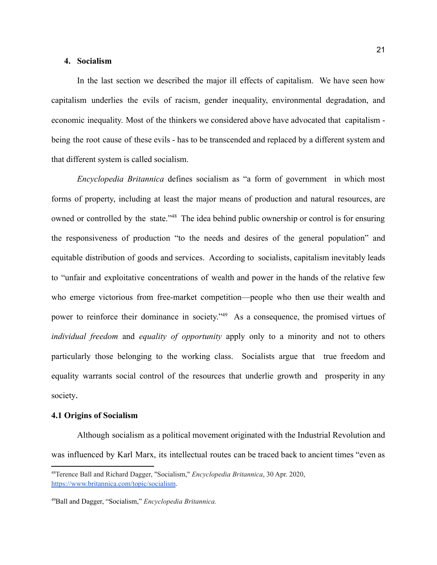#### <span id="page-21-0"></span>**4. Socialism**

In the last section we described the major ill effects of capitalism. We have seen how capitalism underlies the evils of racism, gender inequality, environmental degradation, and economic inequality. Most of the thinkers we considered above have advocated that capitalism being the root cause of these evils - has to be transcended and replaced by a different system and that different system is called socialism.

*Encyclopedia Britannica* defines socialism as "a form of government in which most forms of property, including at least the major means of production and natural resources, are owned or controlled by the state."<sup>48</sup> The idea behind public ownership or control is for ensuring the responsiveness of production "to the needs and desires of the general population" and equitable distribution of goods and services. According to socialists, capitalism inevitably leads to "unfair and exploitative concentrations of wealth and power in the hands of the relative few who emerge victorious from free-market competition—people who then use their wealth and power to reinforce their dominance in society."<sup>49</sup> As a consequence, the promised virtues of *individual freedom* and *equality of opportunity* apply only to a minority and not to others particularly those belonging to the working class. Socialists argue that true freedom and equality warrants social control of the resources that underlie growth and prosperity in any society.

## <span id="page-21-1"></span>**4.1 Origins of Socialism**

Although socialism as a political movement originated with the Industrial Revolution and was influenced by Karl Marx, its intellectual routes can be traced back to ancient times "even as

<sup>48</sup>Terence Ball and Richard Dagger, "Socialism," *Encyclopedia Britannica*, 30 Apr. 2020, <https://www.britannica.com/topic/socialism>.

<sup>49</sup>Ball and Dagger, "Socialism," *Encyclopedia Britannica.*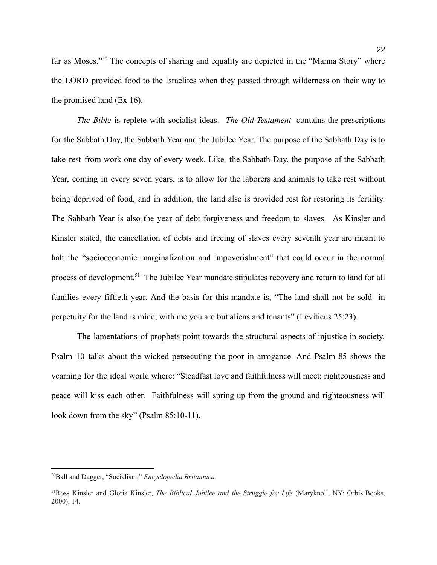far as Moses."<sup>50</sup> The concepts of sharing and equality are depicted in the "Manna Story" where the LORD provided food to the Israelites when they passed through wilderness on their way to the promised land (Ex 16).

*The Bible* is replete with socialist ideas. *The Old Testament* contains the prescriptions for the Sabbath Day, the Sabbath Year and the Jubilee Year. The purpose of the Sabbath Day is to take rest from work one day of every week. Like the Sabbath Day, the purpose of the Sabbath Year, coming in every seven years, is to allow for the laborers and animals to take rest without being deprived of food, and in addition, the land also is provided rest for restoring its fertility. The Sabbath Year is also the year of debt forgiveness and freedom to slaves. As Kinsler and Kinsler stated, the cancellation of debts and freeing of slaves every seventh year are meant to halt the "socioeconomic marginalization and impoverishment" that could occur in the normal process of development.<sup>51</sup> The Jubilee Year mandate stipulates recovery and return to land for all families every fiftieth year. And the basis for this mandate is, "The land shall not be sold in perpetuity for the land is mine; with me you are but aliens and tenants" (Leviticus 25:23).

The lamentations of prophets point towards the structural aspects of injustice in society. Psalm 10 talks about the wicked persecuting the poor in arrogance. And Psalm 85 shows the yearning for the ideal world where: "Steadfast love and faithfulness will meet; righteousness and peace will kiss each other. Faithfulness will spring up from the ground and righteousness will look down from the sky" (Psalm 85:10-11).

<sup>50</sup>Ball and Dagger, "Socialism," *Encyclopedia Britannica.*

<sup>51</sup>Ross Kinsler and Gloria Kinsler, *The Biblical Jubilee and the Struggle for Life* (Maryknoll, NY: Orbis Books, 2000), 14.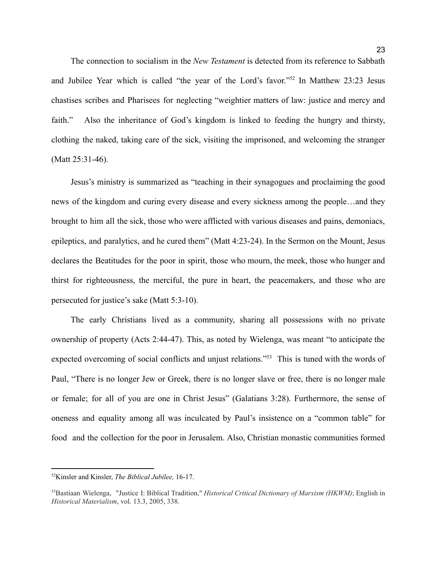The connection to socialism in the *New Testament* is detected from its reference to Sabbath and Jubilee Year which is called "the year of the Lord's favor."<sup>52</sup> In Matthew 23:23 Jesus chastises scribes and Pharisees for neglecting "weightier matters of law: justice and mercy and faith." Also the inheritance of God's kingdom is linked to feeding the hungry and thirsty, clothing the naked, taking care of the sick, visiting the imprisoned, and welcoming the stranger (Matt 25:31-46).

Jesus's ministry is summarized as "teaching in their synagogues and proclaiming the good news of the kingdom and curing every disease and every sickness among the people…and they brought to him all the sick, those who were afflicted with various diseases and pains, demoniacs, epileptics, and paralytics, and he cured them" (Matt 4:23-24). In the Sermon on the Mount, Jesus declares the Beatitudes for the poor in spirit, those who mourn, the meek, those who hunger and thirst for righteousness, the merciful, the pure in heart, the peacemakers, and those who are persecuted for justice's sake (Matt 5:3-10).

The early Christians lived as a community, sharing all possessions with no private ownership of property (Acts 2:44-47). This, as noted by Wielenga, was meant "to anticipate the expected overcoming of social conflicts and unjust relations."<sup>53</sup> This is tuned with the words of Paul, "There is no longer Jew or Greek, there is no longer slave or free, there is no longer male or female; for all of you are one in Christ Jesus" (Galatians 3:28). Furthermore, the sense of oneness and equality among all was inculcated by Paul's insistence on a "common table" for food and the collection for the poor in Jerusalem. Also, Christian monastic communities formed

<sup>52</sup>Kinsler and Kinsler, *The Biblical Jubilee,* 16-17.

<sup>53</sup>Bastiaan Wielenga, "Justice I: Biblical Tradition," *Historical Critical Dictionary of Marxism (HKWM)*; English in *Historical Materialism*, vol. 13.3, 2005, 338.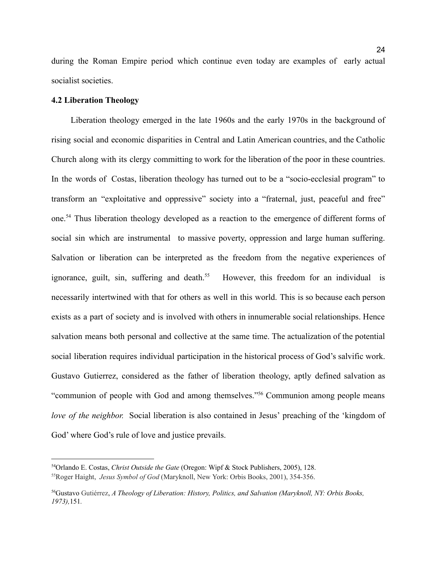during the Roman Empire period which continue even today are examples of early actual socialist societies.

# <span id="page-24-0"></span>**4.2 Liberation Theology**

Liberation theology emerged in the late 1960s and the early 1970s in the background of rising social and economic disparities in Central and Latin American countries, and the Catholic Church along with its clergy committing to work for the liberation of the poor in these countries. In the words of Costas, liberation theology has turned out to be a "socio-ecclesial program" to transform an "exploitative and oppressive" society into a "fraternal, just, peaceful and free" one.<sup>54</sup> Thus liberation theology developed as a reaction to the emergence of different forms of social sin which are instrumental to massive poverty, oppression and large human suffering. Salvation or liberation can be interpreted as the freedom from the negative experiences of ignorance, guilt, sin, suffering and death.<sup>55</sup> However, this freedom for an individual is necessarily intertwined with that for others as well in this world. This is so because each person exists as a part of society and is involved with others in innumerable social relationships. Hence salvation means both personal and collective at the same time. The actualization of the potential social liberation requires individual participation in the historical process of God's salvific work. Gustavo Gutierrez, considered as the father of liberation theology, aptly defined salvation as "communion of people with God and among themselves."<sup>56</sup> Communion among people means *love of the neighbor.* Social liberation is also contained in Jesus' preaching of the 'kingdom of God' where God's rule of love and justice prevails.

<sup>55</sup>Roger Haight, *Jesus Symbol of God* (Maryknoll, New York: Orbis Books, 2001), 354-356. <sup>54</sup>Orlando E. Costas, *Christ Outside the Gate* (Oregon: Wipf & Stock Publishers, 2005), 128.

<sup>56</sup>Gustavo Gutiérrez, *A Theology of Liberation: History, Politics, and Salvation (Maryknoll, NY: Orbis Books, 1973),*151*.*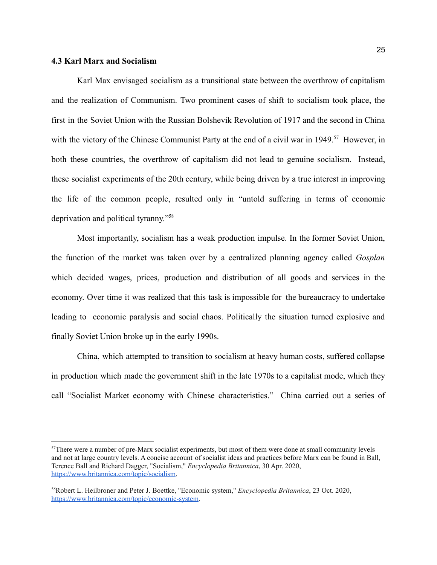# <span id="page-25-0"></span>**4.3 Karl Marx and Socialism**

Karl Max envisaged socialism as a transitional state between the overthrow of capitalism and the realization of Communism. Two prominent cases of shift to socialism took place, the first in the Soviet Union with the Russian Bolshevik Revolution of 1917 and the second in China with the victory of the Chinese Communist Party at the end of a civil war in 1949.<sup>57</sup> However, in both these countries, the overthrow of capitalism did not lead to genuine socialism. Instead, these socialist experiments of the 20th century, while being driven by a true interest in improving the life of the common people, resulted only in "untold suffering in terms of economic deprivation and political tyranny."<sup>58</sup>

Most importantly, socialism has a weak production impulse. In the former Soviet Union, the function of the market was taken over by a centralized planning agency called *Gosplan* which decided wages, prices, production and distribution of all goods and services in the economy. Over time it was realized that this task is impossible for the bureaucracy to undertake leading to economic paralysis and social chaos. Politically the situation turned explosive and finally Soviet Union broke up in the early 1990s.

China, which attempted to transition to socialism at heavy human costs, suffered collapse in production which made the government shift in the late 1970s to a capitalist mode, which they call "Socialist Market economy with Chinese characteristics." China carried out a series of

<sup>57</sup>There were a number of pre-Marx socialist experiments, but most of them were done at small community levels and not at large country levels. A concise account of socialist ideas and practices before Marx can be found in Ball, Terence Ball and Richard Dagger, "Socialism," *Encyclopedia Britannica*, 30 Apr. 2020, <https://www.britannica.com/topic/socialism>.

<sup>58</sup>Robert L. Heilbroner and Peter J. Boettke, "Economic system," *Encyclopedia Britannica*, 23 Oct. 2020, <https://www.britannica.com/topic/economic-system>.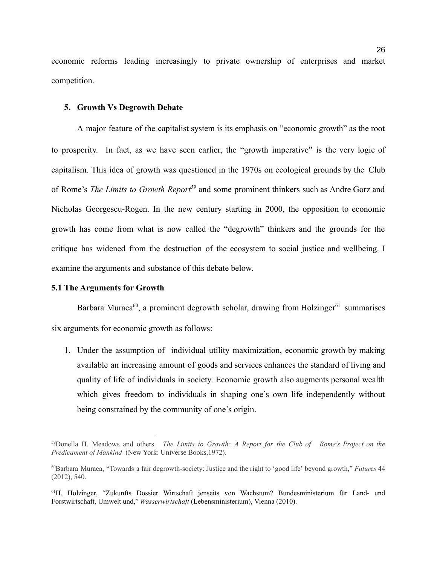economic reforms leading increasingly to private ownership of enterprises and market competition.

#### <span id="page-26-0"></span>**5. Growth Vs Degrowth Debate**

A major feature of the capitalist system is its emphasis on "economic growth" as the root to prosperity. In fact, as we have seen earlier, the "growth imperative" is the very logic of capitalism. This idea of growth was questioned in the 1970s on ecological grounds by the Club of Rome's *The Limits to Growth Report<sup>59</sup>* and some prominent thinkers such as Andre Gorz and Nicholas Georgescu-Rogen. In the new century starting in 2000, the opposition to economic growth has come from what is now called the "degrowth" thinkers and the grounds for the critique has widened from the destruction of the ecosystem to social justice and wellbeing. I examine the arguments and substance of this debate below.

# <span id="page-26-1"></span>**5.1 The Arguments for Growth**

Barbara Muraca<sup>60</sup>, a prominent degrowth scholar, drawing from Holzinger<sup>61</sup> summarises six arguments for economic growth as follows:

1. Under the assumption of individual utility maximization, economic growth by making available an increasing amount of goods and services enhances the standard of living and quality of life of individuals in society. Economic growth also augments personal wealth which gives freedom to individuals in shaping one's own life independently without being constrained by the community of one's origin.

<sup>59</sup>Donella H. Meadows and others. *The Limits to Growth: A Report for the Club of Rome's Project on the Predicament of Mankind* (New York: Universe Books,1972).

<sup>60</sup>Barbara Muraca, "Towards a fair degrowth-society: Justice and the right to 'good life' beyond growth," *Futures* 44 (2012), 540.

<sup>61</sup>H. Holzinger, "Zukunfts Dossier Wirtschaft jenseits von Wachstum? Bundesministerium für Land- und Forstwirtschaft, Umwelt und," *Wasserwirtschaft* (Lebensministerium), Vienna (2010).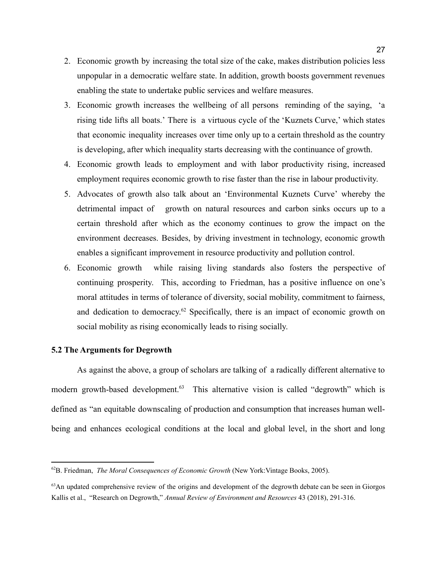- 2. Economic growth by increasing the total size of the cake, makes distribution policies less unpopular in a democratic welfare state. In addition, growth boosts government revenues enabling the state to undertake public services and welfare measures.
- 3. Economic growth increases the wellbeing of all persons reminding of the saying, 'a rising tide lifts all boats.' There is a virtuous cycle of the 'Kuznets Curve,' which states that economic inequality increases over time only up to a certain threshold as the country is developing, after which inequality starts decreasing with the continuance of growth.
- 4. Economic growth leads to employment and with labor productivity rising, increased employment requires economic growth to rise faster than the rise in labour productivity.
- 5. Advocates of growth also talk about an 'Environmental Kuznets Curve' whereby the detrimental impact of growth on natural resources and carbon sinks occurs up to a certain threshold after which as the economy continues to grow the impact on the environment decreases. Besides, by driving investment in technology, economic growth enables a significant improvement in resource productivity and pollution control.
- 6. Economic growth while raising living standards also fosters the perspective of continuing prosperity. This, according to Friedman, has a positive influence on one's moral attitudes in terms of tolerance of diversity, social mobility, commitment to fairness, and dedication to democracy.<sup>62</sup> Specifically, there is an impact of economic growth on social mobility as rising economically leads to rising socially.

# <span id="page-27-0"></span>**5.2 The Arguments for Degrowth**

As against the above, a group of scholars are talking of a radically different alternative to modern growth-based development.<sup>63</sup> This alternative vision is called "degrowth" which is defined as "an equitable downscaling of production and consumption that increases human wellbeing and enhances ecological conditions at the local and global level, in the short and long

<sup>62</sup>B. Friedman, *The Moral Consequences of Economic Growth* (New York:Vintage Books, 2005).

<sup>&</sup>lt;sup>63</sup>An updated comprehensive review of the origins and development of the degrowth debate can be seen in Giorgos Kallis et al., "Research on Degrowth," *Annual Review of Environment and Resources* 43 (2018), 291-316.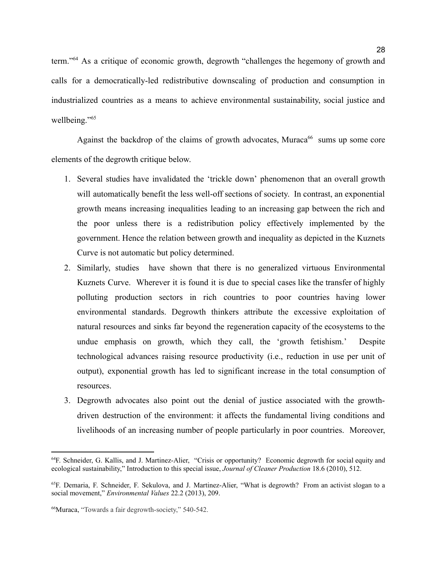term."<sup>64</sup> As a critique of economic growth, degrowth "challenges the hegemony of growth and calls for a democratically-led redistributive downscaling of production and consumption in industrialized countries as a means to achieve environmental sustainability, social justice and wellbeing."<sup>65</sup>

Against the backdrop of the claims of growth advocates, Muraca<sup>66</sup> sums up some core elements of the degrowth critique below.

- 1. Several studies have invalidated the 'trickle down' phenomenon that an overall growth will automatically benefit the less well-off sections of society. In contrast, an exponential growth means increasing inequalities leading to an increasing gap between the rich and the poor unless there is a redistribution policy effectively implemented by the government. Hence the relation between growth and inequality as depicted in the Kuznets Curve is not automatic but policy determined.
- 2. Similarly, studies have shown that there is no generalized virtuous Environmental Kuznets Curve. Wherever it is found it is due to special cases like the transfer of highly polluting production sectors in rich countries to poor countries having lower environmental standards. Degrowth thinkers attribute the excessive exploitation of natural resources and sinks far beyond the regeneration capacity of the ecosystems to the undue emphasis on growth, which they call, the 'growth fetishism.' Despite technological advances raising resource productivity (i.e., reduction in use per unit of output), exponential growth has led to significant increase in the total consumption of resources.
- 3. Degrowth advocates also point out the denial of justice associated with the growthdriven destruction of the environment: it affects the fundamental living conditions and livelihoods of an increasing number of people particularly in poor countries. Moreover,

<sup>64</sup>F. Schneider, G. Kallis, and J. Martinez-Alier, "Crisis or opportunity? Economic degrowth for social equity and ecological sustainability," Introduction to this special issue, *Journal of Cleaner Production* 18.6 (2010), 512.

<sup>65</sup>F. Demaria, F. Schneider, F. Sekulova, and J. Martinez-Alier, "What is degrowth? From an activist slogan to a social movement," *Environmental Values* 22.2 (2013), 209.

<sup>66</sup>Muraca, "Towards a fair degrowth-society," 540-542.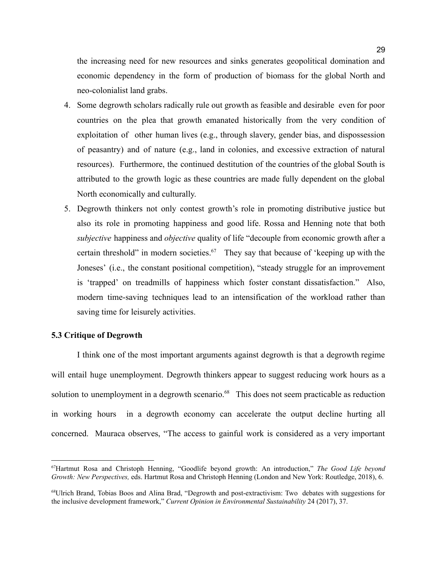the increasing need for new resources and sinks generates geopolitical domination and economic dependency in the form of production of biomass for the global North and neo-colonialist land grabs.

- 4. Some degrowth scholars radically rule out growth as feasible and desirable even for poor countries on the plea that growth emanated historically from the very condition of exploitation of other human lives (e.g., through slavery, gender bias, and dispossession of peasantry) and of nature (e.g., land in colonies, and excessive extraction of natural resources). Furthermore, the continued destitution of the countries of the global South is attributed to the growth logic as these countries are made fully dependent on the global North economically and culturally.
- 5. Degrowth thinkers not only contest growth's role in promoting distributive justice but also its role in promoting happiness and good life. Rossa and Henning note that both *subjective* happiness and *objective* quality of life "decouple from economic growth after a certain threshold" in modern societies.<sup>67</sup> They say that because of 'keeping up with the Joneses' (i.e., the constant positional competition), "steady struggle for an improvement is 'trapped' on treadmills of happiness which foster constant dissatisfaction." Also, modern time-saving techniques lead to an intensification of the workload rather than saving time for leisurely activities.

# <span id="page-29-0"></span>**5.3 Critique of Degrowth**

I think one of the most important arguments against degrowth is that a degrowth regime will entail huge unemployment. Degrowth thinkers appear to suggest reducing work hours as a solution to unemployment in a degrowth scenario.<sup>68</sup> This does not seem practicable as reduction in working hours in a degrowth economy can accelerate the output decline hurting all concerned. Mauraca observes, "The access to gainful work is considered as a very important

<sup>67</sup>Hartmut Rosa and Christoph Henning, "Goodlife beyond growth: An introduction," *The Good Life beyond Growth: New Perspectives,* eds. Hartmut Rosa and Christoph Henning (London and New York: Routledge, 2018), 6.

<sup>68</sup>Ulrich Brand, Tobias Boos and Alina Brad, "Degrowth and post-extractivism: Two debates with suggestions for the inclusive development framework," *Current Opinion in Environmental Sustainability* 24 (2017), 37.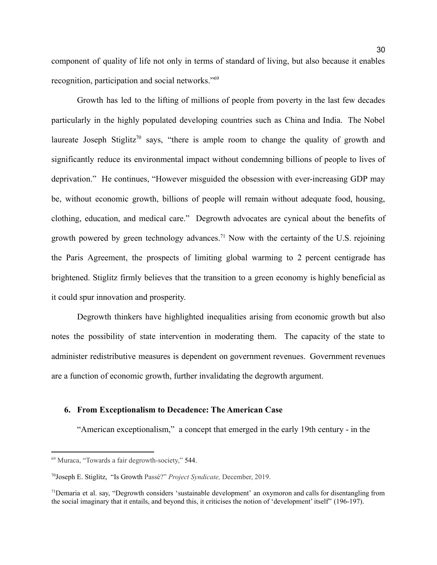component of quality of life not only in terms of standard of living, but also because it enables recognition, participation and social networks."<sup>69</sup>

Growth has led to the lifting of millions of people from poverty in the last few decades particularly in the highly populated developing countries such as China and India. The Nobel laureate Joseph Stiglitz<sup>70</sup> says, "there is ample room to change the quality of growth and significantly reduce its environmental impact without condemning billions of people to lives of deprivation." He continues, "However misguided the obsession with ever-increasing GDP may be, without economic growth, billions of people will remain without adequate food, housing, clothing, education, and medical care." Degrowth advocates are cynical about the benefits of growth powered by green technology advances.<sup>71</sup> Now with the certainty of the U.S. rejoining the Paris Agreement, the prospects of limiting global warming to 2 percent centigrade has brightened. Stiglitz firmly believes that the transition to a green economy is highly beneficial as it could spur innovation and prosperity.

Degrowth thinkers have highlighted inequalities arising from economic growth but also notes the possibility of state intervention in moderating them. The capacity of the state to administer redistributive measures is dependent on government revenues. Government revenues are a function of economic growth, further invalidating the degrowth argument.

# <span id="page-30-0"></span>**6. From Exceptionalism to Decadence: The American Case**

"American exceptionalism," a concept that emerged in the early 19th century - in the

<sup>69</sup> Muraca, "Towards a fair degrowth-society," 544.

<sup>70</sup>Joseph E. Stiglitz, "Is Growth Passé?" *Project Syndicate,* December, 2019.

<sup>71</sup>Demaria et al. say, "Degrowth considers 'sustainable development' an oxymoron and calls for disentangling from the social imaginary that it entails, and beyond this, it criticises the notion of 'development' itself" (196-197).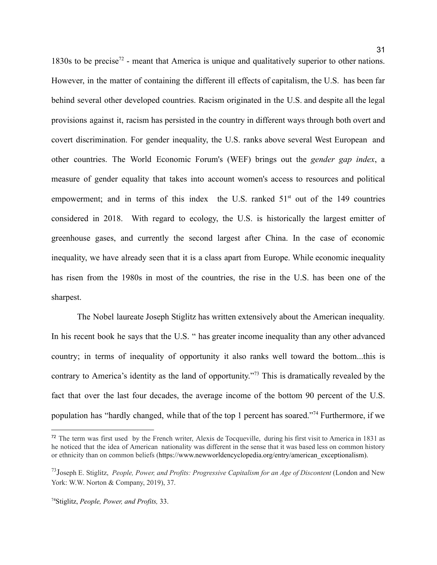1830s to be precise<sup>72</sup> - meant that America is unique and qualitatively superior to other nations. However, in the matter of containing the different ill effects of capitalism, the U.S. has been far behind several other developed countries. Racism originated in the U.S. and despite all the legal provisions against it, racism has persisted in the country in different ways through both overt and covert discrimination. For gender inequality, the U.S. ranks above several West European and other countries. The World Economic Forum's (WEF) brings out the *gender gap index*, a measure of gender equality that takes into account women's access to resources and political empowerment; and in terms of this index the U.S. ranked  $51<sup>st</sup>$  out of the 149 countries considered in 2018. With regard to ecology, the U.S. is historically the largest emitter of greenhouse gases, and currently the second largest after China. In the case of economic inequality, we have already seen that it is a class apart from Europe. While economic inequality has risen from the 1980s in most of the countries, the rise in the U.S. has been one of the

The Nobel laureate Joseph Stiglitz has written extensively about the American inequality. In his recent book he says that the U.S. " has greater income inequality than any other advanced country; in terms of inequality of opportunity it also ranks well toward the bottom...this is contrary to America's identity as the land of opportunity."<sup>73</sup> This is dramatically revealed by the fact that over the last four decades, the average income of the bottom 90 percent of the U.S. population has "hardly changed, while that of the top 1 percent has soared."<sup>74</sup> Furthermore, if we

sharpest.

<sup>72</sup> The term was first used by the French writer, Alexis de Tocqueville, during his first visit to America in 1831 as he noticed that the idea of American nationality was different in the sense that it was based less on common history or ethnicity than on common beliefs [\(https://www.newworldencyclopedia.org/entry/american\\_exceptionalism](https://www.newworldencyclopedia.org/entry/american_exceptionalism)).

<sup>73</sup>Joseph E. Stiglitz, *People, Power, and Profits: Progressive Capitalism for an Age of Discontent* (London and New York: W.W. Norton & Company, 2019), 37.

<sup>74</sup>Stiglitz, *People, Power, and Profits,* 33.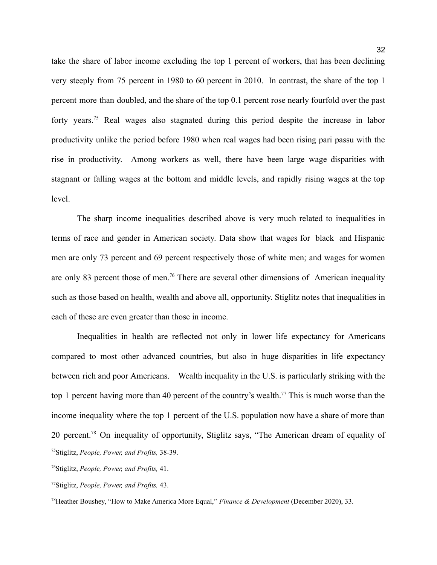take the share of labor income excluding the top 1 percent of workers, that has been declining very steeply from 75 percent in 1980 to 60 percent in 2010. In contrast, the share of the top 1 percent more than doubled, and the share of the top 0.1 percent rose nearly fourfold over the past forty years.<sup>75</sup> Real wages also stagnated during this period despite the increase in labor productivity unlike the period before 1980 when real wages had been rising pari passu with the rise in productivity. Among workers as well, there have been large wage disparities with stagnant or falling wages at the bottom and middle levels, and rapidly rising wages at the top level.

The sharp income inequalities described above is very much related to inequalities in terms of race and gender in American society. Data show that wages for black and Hispanic men are only 73 percent and 69 percent respectively those of white men; and wages for women are only 83 percent those of men.<sup>76</sup> There are several other dimensions of American inequality such as those based on health, wealth and above all, opportunity. Stiglitz notes that inequalities in each of these are even greater than those in income.

Inequalities in health are reflected not only in lower life expectancy for Americans compared to most other advanced countries, but also in huge disparities in life expectancy between rich and poor Americans. Wealth inequality in the U.S. is particularly striking with the top 1 percent having more than 40 percent of the country's wealth.<sup>77</sup> This is much worse than the income inequality where the top 1 percent of the U.S. population now have a share of more than 20 percent.<sup>78</sup> On inequality of opportunity, Stiglitz says, "The American dream of equality of <sup>75</sup>Stiglitz, *People, Power, and Profits,* 38-39.

<sup>76</sup>Stiglitz, *People, Power, and Profits,* 41.

<sup>77</sup>Stiglitz, *People, Power, and Profits,* 43.

<sup>78</sup>Heather Boushey, "How to Make America More Equal," *Finance & Development* (December 2020), 33.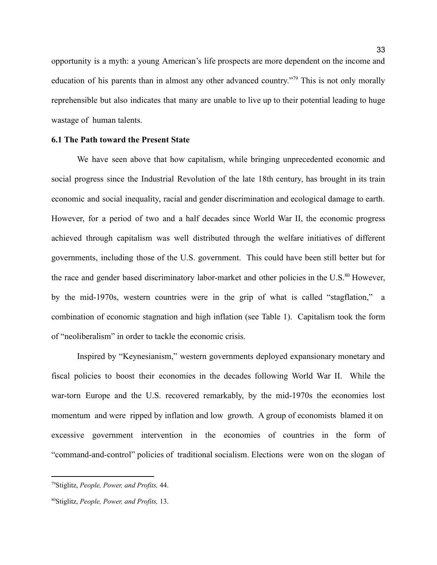opportunity is a myth: a young American's life prospects are more dependent on the income and education of his parents than in almost any other advanced country."<sup>79</sup> This is not only morally reprehensible but also indicates that many are unable to live up to their potential leading to huge wastage of human talents.

# <span id="page-33-0"></span>**6.1 The Path toward the Present State**

We have seen above that how capitalism, while bringing unprecedented economic and social progress since the Industrial Revolution of the late 18th century, has brought in its train economic and social inequality, racial and gender discrimination and ecological damage to earth. However, for a period of two and a half decades since World War II, the economic progress achieved through capitalism was well distributed through the welfare initiatives of different governments, including those of the U.S. government. This could have been still better but for the race and gender based discriminatory labor-market and other policies in the U.S.<sup>80</sup> However, by the mid-1970s, western countries were in the grip of what is called "stagflation," a combination of economic stagnation and high inflation (see Table 1). Capitalism took the form of "neoliberalism" in order to tackle the economic crisis.

Inspired by "Keynesianism," western governments deployed expansionary monetary and fiscal policies to boost their economies in the decades following World War II. While the war-torn Europe and the U.S. recovered remarkably, by the mid-1970s the economies lost momentum and were ripped by inflation and low growth. A group of economists blamed it on excessive government intervention in the economies of countries in the form of "command-and-control" policies of traditional socialism. Elections were won on the slogan of

<sup>79</sup>Stiglitz, *People, Power, and Profits,* 44.

<sup>80</sup>Stiglitz, *People, Power, and Profits,* 13.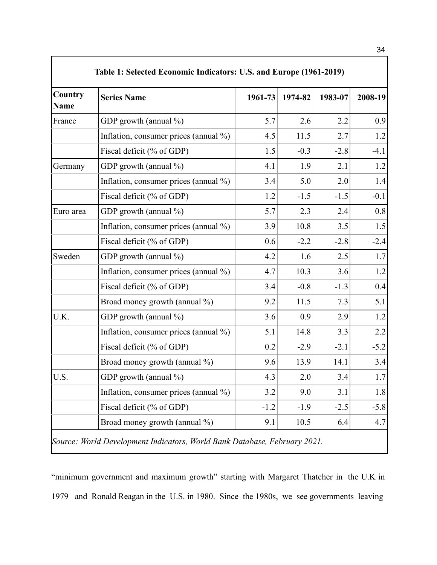| Country<br>Name | <b>Series Name</b>                    | 1961-73 | 1974-82 | 1983-07 | 2008-19 |
|-----------------|---------------------------------------|---------|---------|---------|---------|
| France          | GDP growth (annual %)                 | 5.7     | 2.6     | 2.2     | 0.9     |
|                 | Inflation, consumer prices (annual %) | 4.5     | 11.5    | 2.7     | 1.2     |
|                 | Fiscal deficit (% of GDP)             | 1.5     | $-0.3$  | $-2.8$  | $-4.1$  |
| Germany         | GDP growth (annual %)                 | 4.1     | 1.9     | 2.1     | 1.2     |
|                 | Inflation, consumer prices (annual %) | 3.4     | 5.0     | 2.0     | 1.4     |
|                 | Fiscal deficit (% of GDP)             | 1.2     | $-1.5$  | $-1.5$  | $-0.1$  |
| Euro area       | GDP growth (annual $\%$ )             | 5.7     | 2.3     | 2.4     | 0.8     |
|                 | Inflation, consumer prices (annual %) | 3.9     | 10.8    | 3.5     | 1.5     |
|                 | Fiscal deficit (% of GDP)             | 0.6     | $-2.2$  | $-2.8$  | $-2.4$  |
| Sweden          | GDP growth (annual $\%$ )             | 4.2     | 1.6     | 2.5     | 1.7     |
|                 | Inflation, consumer prices (annual %) | 4.7     | 10.3    | 3.6     | 1.2     |
|                 | Fiscal deficit (% of GDP)             | 3.4     | $-0.8$  | $-1.3$  | 0.4     |
|                 | Broad money growth (annual %)         | 9.2     | 11.5    | 7.3     | 5.1     |
| U.K.            | GDP growth (annual %)                 | 3.6     | 0.9     | 2.9     | 1.2     |
|                 | Inflation, consumer prices (annual %) | 5.1     | 14.8    | 3.3     | 2.2     |
|                 | Fiscal deficit (% of GDP)             | 0.2     | $-2.9$  | $-2.1$  | $-5.2$  |
|                 | Broad money growth (annual %)         | 9.6     | 13.9    | 14.1    | 3.4     |
| U.S.            | GDP growth (annual %)                 | 4.3     | 2.0     | 3.4     | 1.7     |
|                 | Inflation, consumer prices (annual %) | 3.2     | 9.0     | 3.1     | 1.8     |
|                 | Fiscal deficit (% of GDP)             | $-1.2$  | $-1.9$  | $-2.5$  | $-5.8$  |
|                 | Broad money growth (annual %)         | 9.1     | 10.5    | 6.4     | 4.7     |

"minimum government and maximum growth" starting with Margaret Thatcher in the U.K in 1979 and Ronald Reagan in the U.S. in 1980. Since the 1980s, we see governments leaving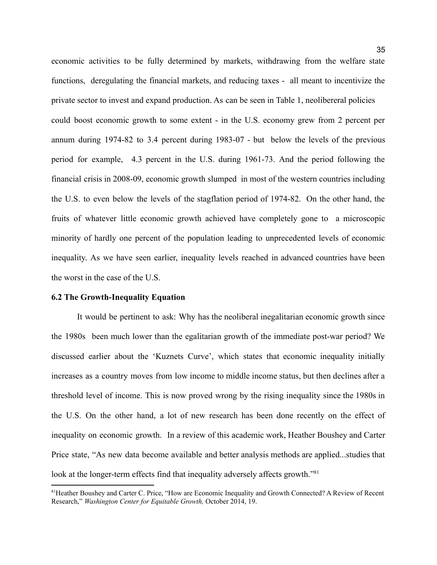economic activities to be fully determined by markets, withdrawing from the welfare state functions, deregulating the financial markets, and reducing taxes - all meant to incentivize the private sector to invest and expand production. As can be seen in Table 1, neolibereral policies could boost economic growth to some extent - in the U.S. economy grew from 2 percent per annum during 1974-82 to 3.4 percent during 1983-07 - but below the levels of the previous period for example, 4.3 percent in the U.S. during 1961-73. And the period following the financial crisis in 2008-09, economic growth slumped in most of the western countries including the U.S. to even below the levels of the stagflation period of 1974-82. On the other hand, the fruits of whatever little economic growth achieved have completely gone to a microscopic minority of hardly one percent of the population leading to unprecedented levels of economic inequality. As we have seen earlier, inequality levels reached in advanced countries have been the worst in the case of the U.S.

#### <span id="page-35-0"></span>**6.2 The Growth-Inequality Equation**

It would be pertinent to ask: Why has the neoliberal inegalitarian economic growth since the 1980s been much lower than the egalitarian growth of the immediate post-war period? We discussed earlier about the 'Kuznets Curve', which states that economic inequality initially increases as a country moves from low income to middle income status, but then declines after a threshold level of income. This is now proved wrong by the rising inequality since the 1980s in the U.S. On the other hand, a lot of new research has been done recently on the effect of inequality on economic growth. In a review of this academic work, Heather Boushey and Carter Price state, "As new data become available and better analysis methods are applied...studies that look at the longer-term effects find that inequality adversely affects growth."<sup>81</sup>

<sup>&</sup>lt;sup>81</sup> Heather Boushey and Carter C. Price, "How are Economic Inequality and Growth Connected? A Review of Recent Research," *Washington Center for Equitable Growth,* October 2014, 19.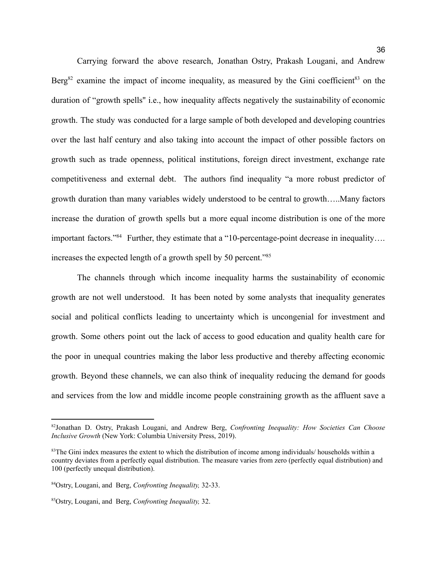Carrying forward the above research, Jonathan Ostry, Prakash Lougani, and Andrew Berg<sup>82</sup> examine the impact of income inequality, as measured by the Gini coefficient<sup>83</sup> on the duration of "growth spells'' i.e., how inequality affects negatively the sustainability of economic growth. The study was conducted for a large sample of both developed and developing countries over the last half century and also taking into account the impact of other possible factors on growth such as trade openness, political institutions, foreign direct investment, exchange rate competitiveness and external debt. The authors find inequality "a more robust predictor of growth duration than many variables widely understood to be central to growth…..Many factors increase the duration of growth spells but a more equal income distribution is one of the more important factors."<sup>84</sup> Further, they estimate that a "10-percentage-point decrease in inequality.... increases the expected length of a growth spell by 50 percent."<sup>85</sup>

The channels through which income inequality harms the sustainability of economic growth are not well understood. It has been noted by some analysts that inequality generates social and political conflicts leading to uncertainty which is uncongenial for investment and growth. Some others point out the lack of access to good education and quality health care for the poor in unequal countries making the labor less productive and thereby affecting economic growth. Beyond these channels, we can also think of inequality reducing the demand for goods and services from the low and middle income people constraining growth as the affluent save a

<sup>82</sup>Jonathan D. Ostry, Prakash Lougani, and Andrew Berg, *Confronting Inequality: How Societies Can Choose Inclusive Growth* (New York: Columbia University Press, 2019).

<sup>&</sup>lt;sup>83</sup>The Gini index measures the extent to which the distribution of income among individuals/ households within a country deviates from a perfectly equal distribution. The measure varies from zero (perfectly equal distribution) and 100 (perfectly unequal distribution).

<sup>84</sup>Ostry, Lougani, and Berg, *Confronting Inequality,* 32-33.

<sup>85</sup>Ostry, Lougani, and Berg, *Confronting Inequality,* 32.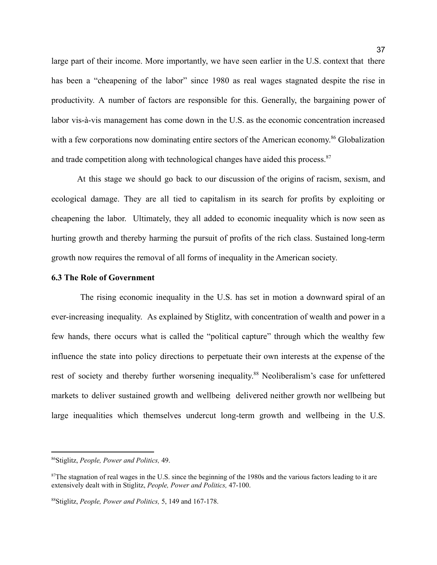large part of their income. More importantly, we have seen earlier in the U.S. context that there has been a "cheapening of the labor" since 1980 as real wages stagnated despite the rise in productivity. A number of factors are responsible for this. Generally, the bargaining power of labor vis-à-vis management has come down in the U.S. as the economic concentration increased with a few corporations now dominating entire sectors of the American economy.<sup>86</sup> Globalization and trade competition along with technological changes have aided this process.<sup>87</sup>

At this stage we should go back to our discussion of the origins of racism, sexism, and ecological damage. They are all tied to capitalism in its search for profits by exploiting or cheapening the labor. Ultimately, they all added to economic inequality which is now seen as hurting growth and thereby harming the pursuit of profits of the rich class. Sustained long-term growth now requires the removal of all forms of inequality in the American society.

#### <span id="page-37-0"></span>**6.3 The Role of Government**

The rising economic inequality in the U.S. has set in motion a downward spiral of an ever-increasing inequality. As explained by Stiglitz, with concentration of wealth and power in a few hands, there occurs what is called the "political capture" through which the wealthy few influence the state into policy directions to perpetuate their own interests at the expense of the rest of society and thereby further worsening inequality.<sup>88</sup> Neoliberalism's case for unfettered markets to deliver sustained growth and wellbeing delivered neither growth nor wellbeing but large inequalities which themselves undercut long-term growth and wellbeing in the U.S.

<sup>86</sup>Stiglitz, *People, Power and Politics,* 49.

 $87$ The stagnation of real wages in the U.S. since the beginning of the 1980s and the various factors leading to it are extensively dealt with in Stiglitz, *People, Power and Politics,* 47-100.

<sup>88</sup>Stiglitz, *People, Power and Politics,* 5, 149 and 167-178.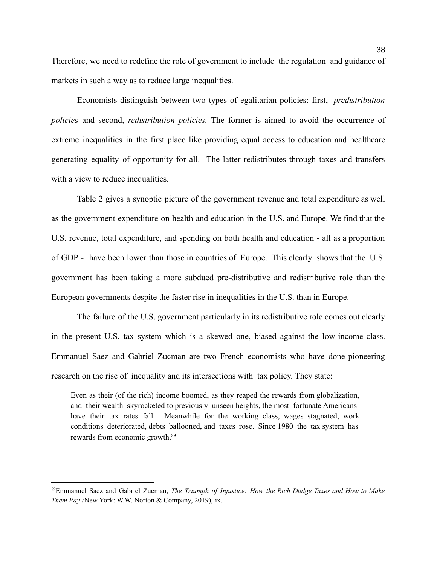Therefore, we need to redefine the role of government to include the regulation and guidance of markets in such a way as to reduce large inequalities.

Economists distinguish between two types of egalitarian policies: first, *predistribution policie*s and second, *redistribution policies.* The former is aimed to avoid the occurrence of extreme inequalities in the first place like providing equal access to education and healthcare generating equality of opportunity for all. The latter redistributes through taxes and transfers with a view to reduce inequalities.

Table 2 gives a synoptic picture of the government revenue and total expenditure as well as the government expenditure on health and education in the U.S. and Europe. We find that the U.S. revenue, total expenditure, and spending on both health and education - all as a proportion of GDP - have been lower than those in countries of Europe. This clearly shows that the U.S. government has been taking a more subdued pre-distributive and redistributive role than the European governments despite the faster rise in inequalities in the U.S. than in Europe.

The failure of the U.S. government particularly in its redistributive role comes out clearly in the present U.S. tax system which is a skewed one, biased against the low-income class. Emmanuel Saez and Gabriel Zucman are two French economists who have done pioneering research on the rise of inequality and its intersections with tax policy. They state:

Even as their (of the rich) income boomed, as they reaped the rewards from globalization, and their wealth skyrocketed to previously unseen heights, the most fortunate Americans have their tax rates fall. Meanwhile for the working class, wages stagnated, work conditions deteriorated, debts ballooned, and taxes rose. Since 1980 the tax system has rewards from economic growth. 89

<sup>89</sup>Emmanuel Saez and Gabriel Zucman, *The Triumph of Injustice: How the Rich Dodge Taxes and How to Make Them Pay (*New York: W.W. Norton & Company, 2019), ix.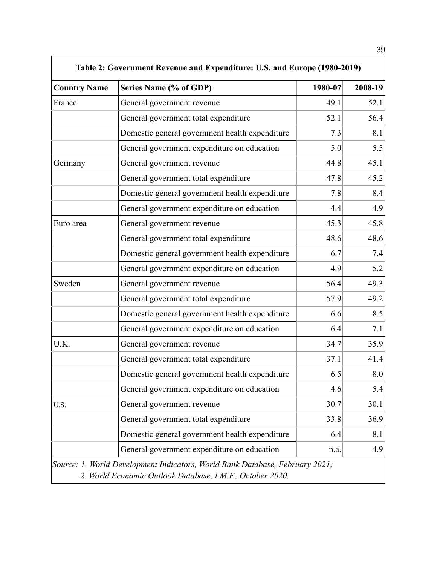| <b>Country Name</b> | Series Name (% of GDP)                         | 1980-07 | 2008-19 |
|---------------------|------------------------------------------------|---------|---------|
| France              | General government revenue                     | 49.1    | 52.1    |
|                     | General government total expenditure           | 52.1    | 56.4    |
|                     | Domestic general government health expenditure | 7.3     | 8.1     |
|                     | General government expenditure on education    | 5.0     | 5.5     |
| Germany             | General government revenue                     | 44.8    | 45.1    |
|                     | General government total expenditure           | 47.8    | 45.2    |
|                     | Domestic general government health expenditure | 7.8     | 8.4     |
|                     | General government expenditure on education    | 4.4     | 4.9     |
| Euro area           | General government revenue                     | 45.3    | 45.8    |
|                     | General government total expenditure           | 48.6    | 48.6    |
|                     | Domestic general government health expenditure | 6.7     | 7.4     |
|                     | General government expenditure on education    | 4.9     | 5.2     |
| Sweden              | General government revenue                     | 56.4    | 49.3    |
|                     | General government total expenditure           | 57.9    | 49.2    |
|                     | Domestic general government health expenditure | 6.6     | 8.5     |
|                     | General government expenditure on education    | 6.4     | 7.1     |
| U.K.                | General government revenue                     | 34.7    | 35.9    |
|                     | General government total expenditure           | 37.1    | 41.4    |
|                     | Domestic general government health expenditure | 6.5     | 8.0     |
|                     | General government expenditure on education    | 4.6     | 5.4     |
| U.S.                | General government revenue                     | 30.7    | 30.1    |
|                     | General government total expenditure           | 33.8    | 36.9    |
|                     | Domestic general government health expenditure | 6.4     | 8.1     |
|                     | General government expenditure on education    | n.a.    | 4.9     |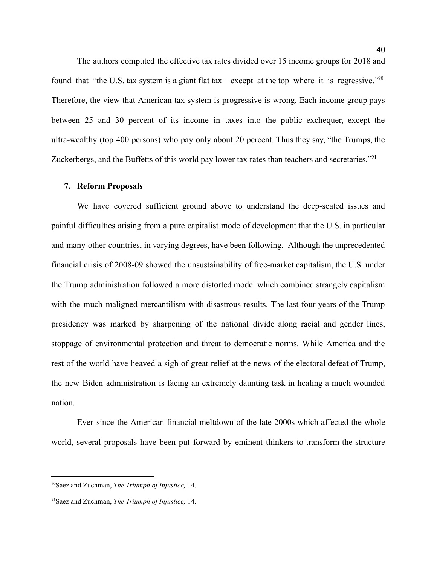The authors computed the effective tax rates divided over 15 income groups for 2018 and found that "the U.S. tax system is a giant flat tax – except at the top where it is regressive."<sup>90</sup> Therefore, the view that American tax system is progressive is wrong. Each income group pays between 25 and 30 percent of its income in taxes into the public exchequer, except the ultra-wealthy (top 400 persons) who pay only about 20 percent. Thus they say, "the Trumps, the Zuckerbergs, and the Buffetts of this world pay lower tax rates than teachers and secretaries."<sup>91</sup>

#### <span id="page-40-0"></span>**7. Reform Proposals**

We have covered sufficient ground above to understand the deep-seated issues and painful difficulties arising from a pure capitalist mode of development that the U.S. in particular and many other countries, in varying degrees, have been following. Although the unprecedented financial crisis of 2008-09 showed the unsustainability of free-market capitalism, the U.S. under the Trump administration followed a more distorted model which combined strangely capitalism with the much maligned mercantilism with disastrous results. The last four years of the Trump presidency was marked by sharpening of the national divide along racial and gender lines, stoppage of environmental protection and threat to democratic norms. While America and the rest of the world have heaved a sigh of great relief at the news of the electoral defeat of Trump, the new Biden administration is facing an extremely daunting task in healing a much wounded nation.

Ever since the American financial meltdown of the late 2000s which affected the whole world, several proposals have been put forward by eminent thinkers to transform the structure

<sup>90</sup>Saez and Zuchman, *The Triumph of Injustice,* 14.

<sup>91</sup>Saez and Zuchman, *The Triumph of Injustice,* 14.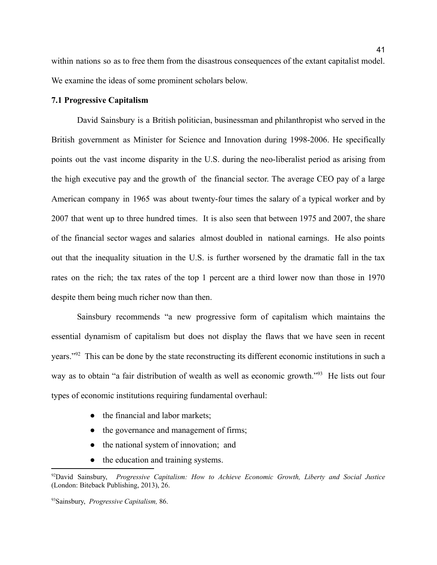within nations so as to free them from the disastrous consequences of the extant capitalist model. We examine the ideas of some prominent scholars below.

# <span id="page-41-0"></span>**7.1 Progressive Capitalism**

David Sainsbury is a British politician, businessman and philanthropist who served in the British government as Minister for Science and Innovation during 1998-2006. He specifically points out the vast income disparity in the U.S. during the neo-liberalist period as arising from the high executive pay and the growth of the financial sector. The average CEO pay of a large American company in 1965 was about twenty-four times the salary of a typical worker and by 2007 that went up to three hundred times. It is also seen that between 1975 and 2007, the share of the financial sector wages and salaries almost doubled in national earnings. He also points out that the inequality situation in the U.S. is further worsened by the dramatic fall in the tax rates on the rich; the tax rates of the top 1 percent are a third lower now than those in 1970 despite them being much richer now than then.

Sainsbury recommends "a new progressive form of capitalism which maintains the essential dynamism of capitalism but does not display the flaws that we have seen in recent years."<sup>92</sup> This can be done by the state reconstructing its different economic institutions in such a way as to obtain "a fair distribution of wealth as well as economic growth."<sup>93</sup> He lists out four types of economic institutions requiring fundamental overhaul:

- the financial and labor markets;
- the governance and management of firms;
- the national system of innovation; and
- the education and training systems.

<sup>92</sup>David Sainsbury, *Progressive Capitalism: How to Achieve Economic Growth, Liberty and Social Justice* (London: Biteback Publishing, 2013), 26.

<sup>93</sup>Sainsbury, *Progressive Capitalism,* 86.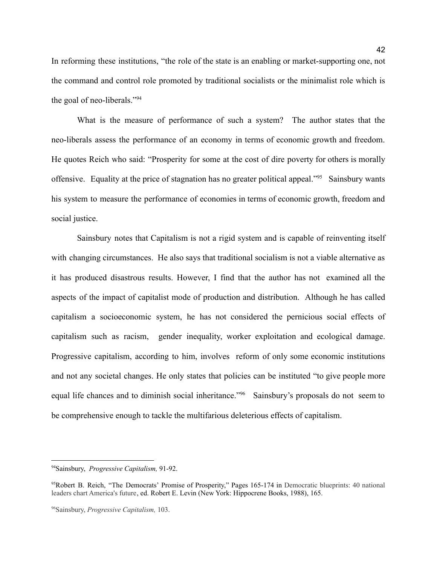In reforming these institutions, "the role of the state is an enabling or market-supporting one, not the command and control role promoted by traditional socialists or the minimalist role which is the goal of neo-liberals."<sup>94</sup>

What is the measure of performance of such a system? The author states that the neo-liberals assess the performance of an economy in terms of economic growth and freedom. He quotes Reich who said: "Prosperity for some at the cost of dire poverty for others is morally offensive. Equality at the price of stagnation has no greater political appeal."<sup>95</sup> Sainsbury wants his system to measure the performance of economies in terms of economic growth, freedom and social justice.

Sainsbury notes that Capitalism is not a rigid system and is capable of reinventing itself with changing circumstances. He also says that traditional socialism is not a viable alternative as it has produced disastrous results. However, I find that the author has not examined all the aspects of the impact of capitalist mode of production and distribution. Although he has called capitalism a socioeconomic system, he has not considered the pernicious social effects of capitalism such as racism, gender inequality, worker exploitation and ecological damage. Progressive capitalism, according to him, involves reform of only some economic institutions and not any societal changes. He only states that policies can be instituted "to give people more equal life chances and to diminish social inheritance."<sup>96</sup> Sainsbury's proposals do not seem to be comprehensive enough to tackle the multifarious deleterious effects of capitalism.

<sup>94</sup>Sainsbury, *Progressive Capitalism,* 91-92.

<sup>95</sup>Robert B. Reich, "The Democrats' Promise of Prosperity," Pages 165-174 in Democratic blueprints: 40 national leaders chart America's future, ed. Robert E. Levin (New York: Hippocrene Books, 1988), 165.

<sup>96</sup>Sainsbury, *Progressive Capitalism,* 103.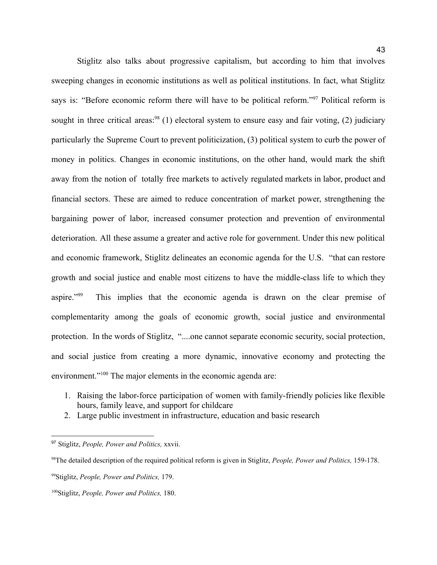Stiglitz also talks about progressive capitalism, but according to him that involves sweeping changes in economic institutions as well as political institutions. In fact, what Stiglitz says is: "Before economic reform there will have to be political reform."<sup>97</sup> Political reform is sought in three critical areas:<sup>98</sup> (1) electoral system to ensure easy and fair voting, (2) judiciary particularly the Supreme Court to prevent politicization, (3) political system to curb the power of money in politics. Changes in economic institutions, on the other hand, would mark the shift away from the notion of totally free markets to actively regulated markets in labor, product and financial sectors. These are aimed to reduce concentration of market power, strengthening the bargaining power of labor, increased consumer protection and prevention of environmental deterioration. All these assume a greater and active role for government. Under this new political and economic framework, Stiglitz delineates an economic agenda for the U.S. "that can restore growth and social justice and enable most citizens to have the middle-class life to which they aspire."<sup>99</sup> This implies that the economic agenda is drawn on the clear premise of complementarity among the goals of economic growth, social justice and environmental protection. In the words of Stiglitz, "....one cannot separate economic security, social protection, and social justice from creating a more dynamic, innovative economy and protecting the environment."<sup>100</sup> The major elements in the economic agenda are:

- 1. Raising the labor-force participation of women with family-friendly policies like flexible hours, family leave, and support for childcare
- 2. Large public investment in infrastructure, education and basic research

<sup>97</sup> Stiglitz, *People, Power and Politics,* xxvii.

<sup>98</sup>The detailed description of the required political reform is given in Stiglitz, *People, Power and Politics,* 159-178.

<sup>99</sup>Stiglitz, *People, Power and Politics,* 179.

<sup>100</sup>Stiglitz, *People, Power and Politics,* 180.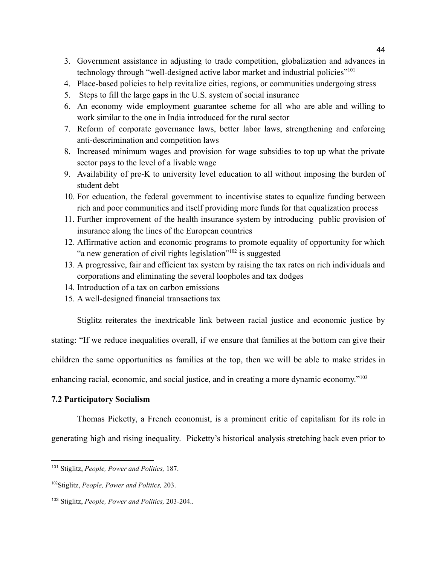- 3. Government assistance in adjusting to trade competition, globalization and advances in technology through "well-designed active labor market and industrial policies"<sup>101</sup>
- 4. Place-based policies to help revitalize cities, regions, or communities undergoing stress
- 5. Steps to fill the large gaps in the U.S. system of social insurance
- 6. An economy wide employment guarantee scheme for all who are able and willing to work similar to the one in India introduced for the rural sector
- 7. Reform of corporate governance laws, better labor laws, strengthening and enforcing anti-descrimination and competition laws
- 8. Increased minimum wages and provision for wage subsidies to top up what the private sector pays to the level of a livable wage
- 9. Availability of pre-K to university level education to all without imposing the burden of student debt
- 10. For education, the federal government to incentivise states to equalize funding between rich and poor communities and itself providing more funds for that equalization process
- 11. Further improvement of the health insurance system by introducing public provision of insurance along the lines of the European countries
- 12. Affirmative action and economic programs to promote equality of opportunity for which "a new generation of civil rights legislation"<sup>102</sup> is suggested
- 13. A progressive, fair and efficient tax system by raising the tax rates on rich individuals and corporations and eliminating the several loopholes and tax dodges
- 14. Introduction of a tax on carbon emissions
- 15. A well-designed financial transactions tax

Stiglitz reiterates the inextricable link between racial justice and economic justice by

stating: "If we reduce inequalities overall, if we ensure that families at the bottom can give their

children the same opportunities as families at the top, then we will be able to make strides in

enhancing racial, economic, and social justice, and in creating a more dynamic economy."<sup>103</sup>

# <span id="page-44-0"></span>**7.2 Participatory Socialism**

Thomas Picketty, a French economist, is a prominent critic of capitalism for its role in generating high and rising inequality. Picketty's historical analysis stretching back even prior to

<sup>101</sup> Stiglitz, *People, Power and Politics,* 187.

<sup>102</sup>Stiglitz, *People, Power and Politics,* 203.

<sup>103</sup> Stiglitz, *People, Power and Politics,* 203-204..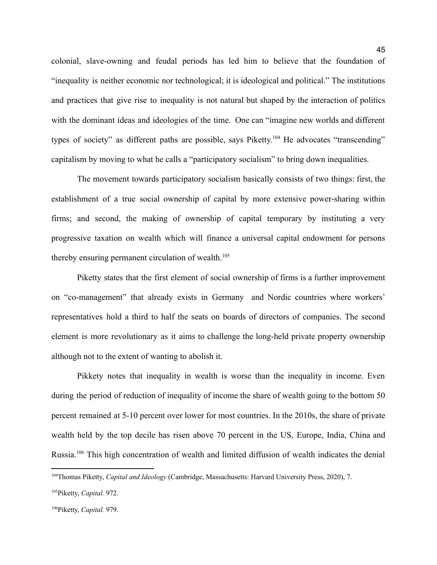colonial, slave-owning and feudal periods has led him to believe that the foundation of "inequality is neither economic nor technological; it is ideological and political." The institutions and practices that give rise to inequality is not natural but shaped by the interaction of politics with the dominant ideas and ideologies of the time. One can "imagine new worlds and different types of society" as different paths are possible, says Piketty.<sup>104</sup> He advocates "transcending" capitalism by moving to what he calls a "participatory socialism" to bring down inequalities.

The movement towards participatory socialism basically consists of two things: first, the establishment of a true social ownership of capital by more extensive power-sharing within firms; and second, the making of ownership of capital temporary by instituting a very progressive taxation on wealth which will finance a universal capital endowment for persons thereby ensuring permanent circulation of wealth.<sup>105</sup>

Piketty states that the first element of social ownership of firms is a further improvement on "co-management" that already exists in Germany and Nordic countries where workers' representatives hold a third to half the seats on boards of directors of companies. The second element is more revolutionary as it aims to challenge the long-held private property ownership although not to the extent of wanting to abolish it.

Pikkety notes that inequality in wealth is worse than the inequality in income. Even during the period of reduction of inequality of income the share of wealth going to the bottom 50 percent remained at 5-10 percent over lower for most countries. In the 2010s, the share of private wealth held by the top decile has risen above 70 percent in the US, Europe, India, China and Russia.<sup>106</sup> This high concentration of wealth and limited diffusion of wealth indicates the denial

<sup>104</sup>Thomas Piketty, *Capital and Ideology* (Cambridge, Massachusetts: Harvard University Press, 2020), 7.

<sup>105</sup>Piketty, *Capital.* 972.

<sup>106</sup>Piketty, *Capital.* 979.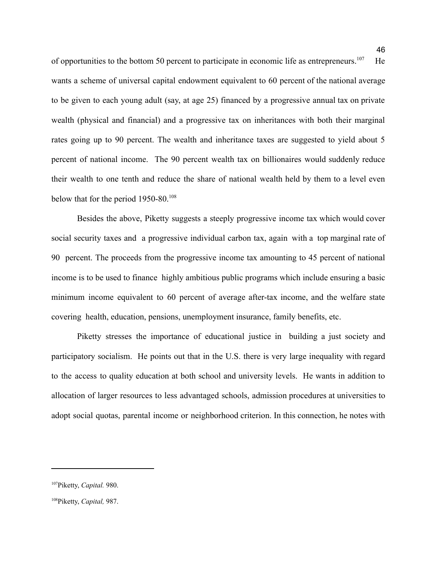of opportunities to the bottom 50 percent to participate in economic life as entrepreneurs.<sup>107</sup> He wants a scheme of universal capital endowment equivalent to 60 percent of the national average to be given to each young adult (say, at age 25) financed by a progressive annual tax on private wealth (physical and financial) and a progressive tax on inheritances with both their marginal rates going up to 90 percent. The wealth and inheritance taxes are suggested to yield about 5 percent of national income. The 90 percent wealth tax on billionaires would suddenly reduce their wealth to one tenth and reduce the share of national wealth held by them to a level even below that for the period 1950-80.<sup>108</sup>

Besides the above, Piketty suggests a steeply progressive income tax which would cover social security taxes and a progressive individual carbon tax, again with a top marginal rate of 90 percent. The proceeds from the progressive income tax amounting to 45 percent of national income is to be used to finance highly ambitious public programs which include ensuring a basic minimum income equivalent to 60 percent of average after-tax income, and the welfare state covering health, education, pensions, unemployment insurance, family benefits, etc.

Piketty stresses the importance of educational justice in building a just society and participatory socialism. He points out that in the U.S. there is very large inequality with regard to the access to quality education at both school and university levels. He wants in addition to allocation of larger resources to less advantaged schools, admission procedures at universities to adopt social quotas, parental income or neighborhood criterion. In this connection, he notes with

<sup>107</sup>Piketty, *Capital.* 980.

<sup>108</sup>Piketty, *Capital,* 987.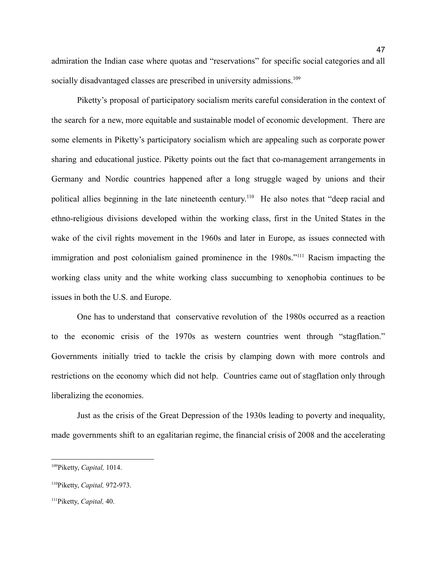admiration the Indian case where quotas and "reservations" for specific social categories and all socially disadvantaged classes are prescribed in university admissions.<sup>109</sup>

Piketty's proposal of participatory socialism merits careful consideration in the context of the search for a new, more equitable and sustainable model of economic development. There are some elements in Piketty's participatory socialism which are appealing such as corporate power sharing and educational justice. Piketty points out the fact that co-management arrangements in Germany and Nordic countries happened after a long struggle waged by unions and their political allies beginning in the late nineteenth century.<sup>110</sup> He also notes that "deep racial and ethno-religious divisions developed within the working class, first in the United States in the wake of the civil rights movement in the 1960s and later in Europe, as issues connected with immigration and post colonialism gained prominence in the 1980s."<sup>111</sup> Racism impacting the working class unity and the white working class succumbing to xenophobia continues to be issues in both the U.S. and Europe.

One has to understand that conservative revolution of the 1980s occurred as a reaction to the economic crisis of the 1970s as western countries went through "stagflation." Governments initially tried to tackle the crisis by clamping down with more controls and restrictions on the economy which did not help. Countries came out of stagflation only through liberalizing the economies.

Just as the crisis of the Great Depression of the 1930s leading to poverty and inequality, made governments shift to an egalitarian regime, the financial crisis of 2008 and the accelerating

<sup>109</sup>Piketty, *Capital,* 1014.

<sup>110</sup>Piketty, *Capital,* 972-973.

<sup>111</sup>Piketty, *Capital,* 40.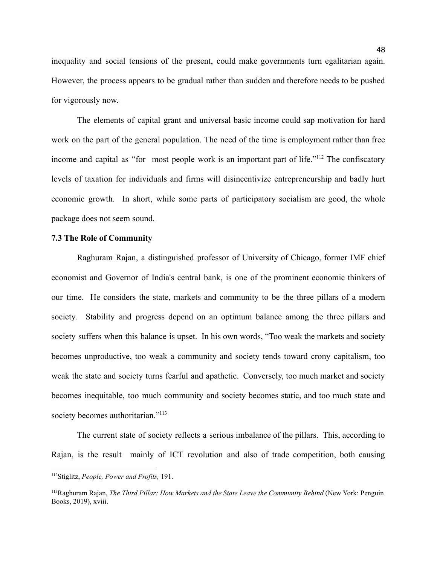inequality and social tensions of the present, could make governments turn egalitarian again. However, the process appears to be gradual rather than sudden and therefore needs to be pushed for vigorously now.

The elements of capital grant and universal basic income could sap motivation for hard work on the part of the general population. The need of the time is employment rather than free income and capital as "for most people work is an important part of life."<sup>112</sup> The confiscatory levels of taxation for individuals and firms will disincentivize entrepreneurship and badly hurt economic growth. In short, while some parts of participatory socialism are good, the whole package does not seem sound.

#### <span id="page-48-0"></span>**7.3 The Role of Community**

Raghuram Rajan, a distinguished professor of University of Chicago, former IMF chief economist and Governor of India's central bank, is one of the prominent economic thinkers of our time. He considers the state, markets and community to be the three pillars of a modern society. Stability and progress depend on an optimum balance among the three pillars and society suffers when this balance is upset. In his own words, "Too weak the markets and society becomes unproductive, too weak a community and society tends toward crony capitalism, too weak the state and society turns fearful and apathetic. Conversely, too much market and society becomes inequitable, too much community and society becomes static, and too much state and society becomes authoritarian."<sup>113</sup>

The current state of society reflects a serious imbalance of the pillars. This, according to Rajan, is the result mainly of ICT revolution and also of trade competition, both causing

<sup>112</sup>Stiglitz, *People, Power and Profits,* 191.

<sup>113</sup>Raghuram Rajan, *The Third Pillar: How Markets and the State Leave the Community Behind* (New York: Penguin Books, 2019), xviii.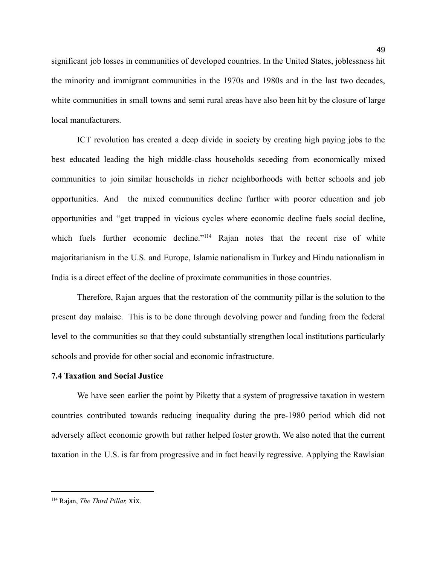significant job losses in communities of developed countries. In the United States, joblessness hit the minority and immigrant communities in the 1970s and 1980s and in the last two decades, white communities in small towns and semi rural areas have also been hit by the closure of large local manufacturers.

49

ICT revolution has created a deep divide in society by creating high paying jobs to the best educated leading the high middle-class households seceding from economically mixed communities to join similar households in richer neighborhoods with better schools and job opportunities. And the mixed communities decline further with poorer education and job opportunities and "get trapped in vicious cycles where economic decline fuels social decline, which fuels further economic decline."<sup>114</sup> Rajan notes that the recent rise of white majoritarianism in the U.S. and Europe, Islamic nationalism in Turkey and Hindu nationalism in India is a direct effect of the decline of proximate communities in those countries.

Therefore, Rajan argues that the restoration of the community pillar is the solution to the present day malaise. This is to be done through devolving power and funding from the federal level to the communities so that they could substantially strengthen local institutions particularly schools and provide for other social and economic infrastructure.

#### <span id="page-49-0"></span>**7.4 Taxation and Social Justice**

We have seen earlier the point by Piketty that a system of progressive taxation in western countries contributed towards reducing inequality during the pre-1980 period which did not adversely affect economic growth but rather helped foster growth. We also noted that the current taxation in the U.S. is far from progressive and in fact heavily regressive. Applying the Rawlsian

<sup>114</sup> Rajan, *The Third Pillar,* xix.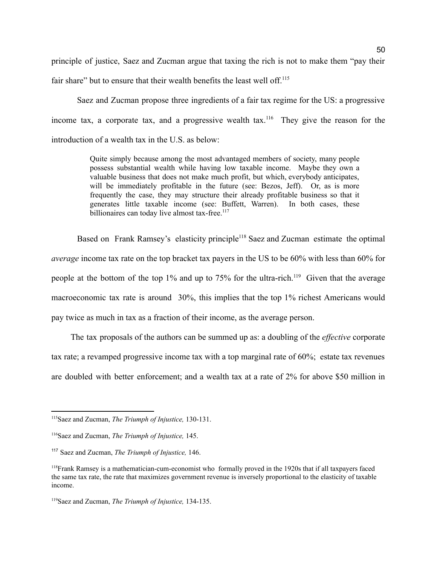principle of justice, Saez and Zucman argue that taxing the rich is not to make them "pay their fair share" but to ensure that their wealth benefits the least well off.<sup>115</sup>

Saez and Zucman propose three ingredients of a fair tax regime for the US: a progressive income tax, a corporate tax, and a progressive wealth tax.<sup>116</sup> They give the reason for the introduction of a wealth tax in the U.S. as below:

> Quite simply because among the most advantaged members of society, many people possess substantial wealth while having low taxable income. Maybe they own a valuable business that does not make much profit, but which, everybody anticipates, will be immediately profitable in the future (see: Bezos, Jeff). Or, as is more frequently the case, they may structure their already profitable business so that it generates little taxable income (see: Buffett, Warren). In both cases, these billionaires can today live almost tax-free.<sup>117</sup>

Based on Frank Ramsey's elasticity principle<sup>118</sup> Saez and Zucman estimate the optimal *average* income tax rate on the top bracket tax payers in the US to be 60% with less than 60% for people at the bottom of the top 1% and up to 75% for the ultra-rich.<sup>119</sup> Given that the average macroeconomic tax rate is around 30%, this implies that the top 1% richest Americans would pay twice as much in tax as a fraction of their income, as the average person.

The tax proposals of the authors can be summed up as: a doubling of the *effective* corporate tax rate; a revamped progressive income tax with a top marginal rate of 60%; estate tax revenues are doubled with better enforcement; and a wealth tax at a rate of 2% for above \$50 million in

<sup>115</sup>Saez and Zucman, *The Triumph of Injustice,* 130-131.

<sup>116</sup>Saez and Zucman, *The Triumph of Injustice,* 145.

<sup>117</sup> Saez and Zucman, *The Triumph of Injustice,* 146.

<sup>118</sup>Frank Ramsey is a mathematician-cum-economist who formally proved in the 1920s that if all taxpayers faced the same tax rate, the rate that maximizes government revenue is inversely proportional to the elasticity of taxable income.

<sup>119</sup>Saez and Zucman, *The Triumph of Injustice,* 134-135.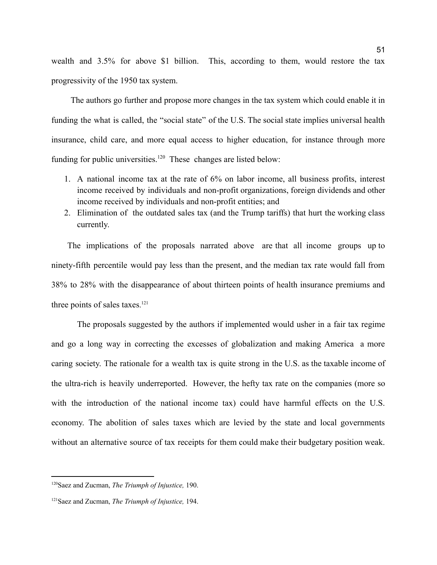wealth and 3.5% for above \$1 billion. This, according to them, would restore the tax progressivity of the 1950 tax system.

The authors go further and propose more changes in the tax system which could enable it in funding the what is called, the "social state" of the U.S. The social state implies universal health insurance, child care, and more equal access to higher education, for instance through more funding for public universities.<sup>120</sup> These changes are listed below:

- 1. A national income tax at the rate of 6% on labor income, all business profits, interest income received by individuals and non-profit organizations, foreign dividends and other income received by individuals and non-profit entities; and
- 2. Elimination of the outdated sales tax (and the Trump tariffs) that hurt the working class currently.

The implications of the proposals narrated above are that all income groups up to ninety-fifth percentile would pay less than the present, and the median tax rate would fall from 38% to 28% with the disappearance of about thirteen points of health insurance premiums and three points of sales taxes. 121

The proposals suggested by the authors if implemented would usher in a fair tax regime and go a long way in correcting the excesses of globalization and making America a more caring society. The rationale for a wealth tax is quite strong in the U.S. as the taxable income of the ultra-rich is heavily underreported. However, the hefty tax rate on the companies (more so with the introduction of the national income tax) could have harmful effects on the U.S. economy. The abolition of sales taxes which are levied by the state and local governments without an alternative source of tax receipts for them could make their budgetary position weak.

<sup>120</sup>Saez and Zucman, *The Triumph of Injustice,* 190.

<sup>121</sup>Saez and Zucman, *The Triumph of Injustice,* 194.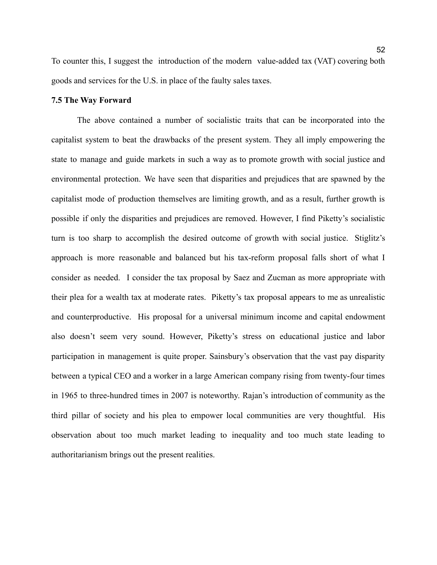To counter this, I suggest the introduction of the modern value-added tax (VAT) covering both goods and services for the U.S. in place of the faulty sales taxes.

#### <span id="page-52-0"></span>**7.5 The Way Forward**

The above contained a number of socialistic traits that can be incorporated into the capitalist system to beat the drawbacks of the present system. They all imply empowering the state to manage and guide markets in such a way as to promote growth with social justice and environmental protection. We have seen that disparities and prejudices that are spawned by the capitalist mode of production themselves are limiting growth, and as a result, further growth is possible if only the disparities and prejudices are removed. However, I find Piketty's socialistic turn is too sharp to accomplish the desired outcome of growth with social justice. Stiglitz's approach is more reasonable and balanced but his tax-reform proposal falls short of what I consider as needed. I consider the tax proposal by Saez and Zucman as more appropriate with their plea for a wealth tax at moderate rates. Piketty's tax proposal appears to me as unrealistic and counterproductive. His proposal for a universal minimum income and capital endowment also doesn't seem very sound. However, Piketty's stress on educational justice and labor participation in management is quite proper. Sainsbury's observation that the vast pay disparity between a typical CEO and a worker in a large American company rising from twenty-four times in 1965 to three-hundred times in 2007 is noteworthy. Rajan's introduction of community as the third pillar of society and his plea to empower local communities are very thoughtful. His observation about too much market leading to inequality and too much state leading to authoritarianism brings out the present realities.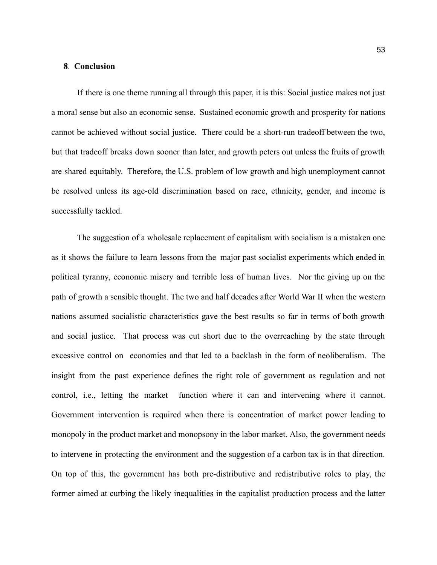#### <span id="page-53-0"></span>**8**. **Conclusion**

If there is one theme running all through this paper, it is this: Social justice makes not just a moral sense but also an economic sense. Sustained economic growth and prosperity for nations cannot be achieved without social justice. There could be a short-run tradeoff between the two, but that tradeoff breaks down sooner than later, and growth peters out unless the fruits of growth are shared equitably. Therefore, the U.S. problem of low growth and high unemployment cannot be resolved unless its age-old discrimination based on race, ethnicity, gender, and income is successfully tackled.

The suggestion of a wholesale replacement of capitalism with socialism is a mistaken one as it shows the failure to learn lessons from the major past socialist experiments which ended in political tyranny, economic misery and terrible loss of human lives. Nor the giving up on the path of growth a sensible thought. The two and half decades after World War II when the western nations assumed socialistic characteristics gave the best results so far in terms of both growth and social justice. That process was cut short due to the overreaching by the state through excessive control on economies and that led to a backlash in the form of neoliberalism. The insight from the past experience defines the right role of government as regulation and not control, i.e., letting the market function where it can and intervening where it cannot. Government intervention is required when there is concentration of market power leading to monopoly in the product market and monopsony in the labor market. Also, the government needs to intervene in protecting the environment and the suggestion of a carbon tax is in that direction. On top of this, the government has both pre-distributive and redistributive roles to play, the former aimed at curbing the likely inequalities in the capitalist production process and the latter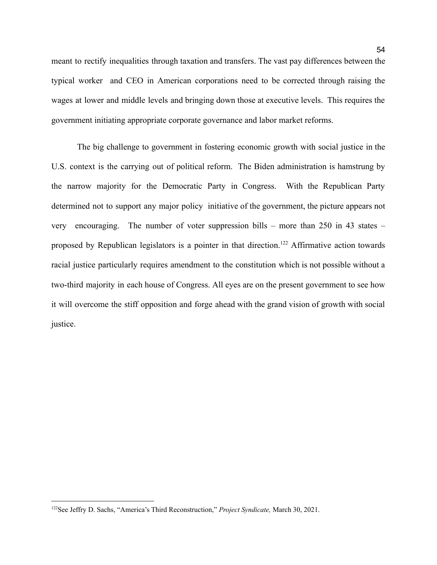meant to rectify inequalities through taxation and transfers. The vast pay differences between the typical worker and CEO in American corporations need to be corrected through raising the wages at lower and middle levels and bringing down those at executive levels. This requires the government initiating appropriate corporate governance and labor market reforms.

The big challenge to government in fostering economic growth with social justice in the U.S. context is the carrying out of political reform. The Biden administration is hamstrung by the narrow majority for the Democratic Party in Congress. With the Republican Party determined not to support any major policy initiative of the government, the picture appears not very encouraging. The number of voter suppression bills – more than 250 in 43 states – proposed by Republican legislators is a pointer in that direction.<sup>122</sup> Affirmative action towards racial justice particularly requires amendment to the constitution which is not possible without a two-third majority in each house of Congress. All eyes are on the present government to see how it will overcome the stiff opposition and forge ahead with the grand vision of growth with social justice.

<sup>122</sup>See Jeffry D. Sachs, "America's Third Reconstruction," *Project Syndicate,* March 30, 2021.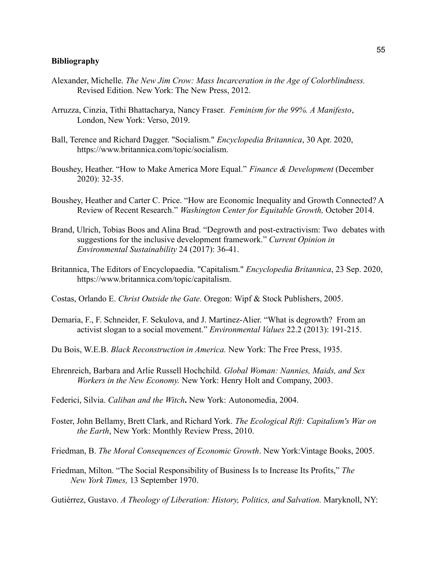# <span id="page-55-0"></span>**Bibliography**

- Alexander, Michelle. *The New Jim Crow: Mass Incarceration in the Age of Colorblindness.* Revised Edition. New York: The New Press, 2012.
- Arruzza, Cinzia, Tithi Bhattacharya, Nancy Fraser. *Feminism for the 99%. A Manifesto*, London, New York: Verso, 2019.
- Ball, Terence and Richard Dagger. "Socialism." *Encyclopedia Britannica*, 30 Apr. 2020, https://www.britannica.com/topic/socialism.
- Boushey, Heather. "How to Make America More Equal." *Finance & Development* (December 2020): 32-35.
- Boushey, Heather and Carter C. Price. "How are Economic Inequality and Growth Connected? A Review of Recent Research." *Washington Center for Equitable Growth,* October 2014.
- Brand, Ulrich, Tobias Boos and Alina Brad. "Degrowth and post-extractivism: Two debates with suggestions for the inclusive development framework." *Current Opinion in Environmental Sustainability* 24 (2017): 36-41.
- Britannica, The Editors of Encyclopaedia. "Capitalism." *Encyclopedia Britannica*, 23 Sep. 2020, https://www.britannica.com/topic/capitalism.
- Costas, Orlando E. *Christ Outside the Gate.* Oregon: Wipf & Stock Publishers, 2005.
- Demaria, F., F. Schneider, F. Sekulova, and J. Martinez-Alier. "What is degrowth? From an activist slogan to a social movement." *Environmental Values* 22.2 (2013): 191-215.
- Du Bois, W.E.B. *Black Reconstruction in America.* New York: The Free Press, 1935.
- Ehrenreich, Barbara and Arlie Russell Hochchild. *Global Woman: Nannies, Maids, and Sex Workers in the New Economy.* New York: Henry Holt and Company, 2003.
- Federici, Silvia. *Caliban and the Witch***.** New York: Autonomedia, 2004.
- Foster, John Bellamy, Brett Clark, and Richard York. *The Ecological Rift: Capitalism's War on the Earth*, New York: Monthly Review Press, 2010.
- Friedman, B. *The Moral Consequences of Economic Growth*. New York:Vintage Books, 2005.
- Friedman, Milton. "The Social Responsibility of Business Is to Increase Its Profits," *The New York Times,* 13 September 1970.
- Gutiérrez, Gustavo. *A Theology of Liberation: History, Politics, and Salvation.* Maryknoll, NY: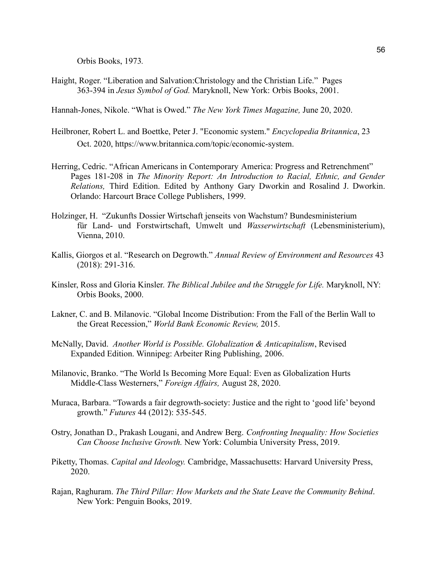Orbis Books, 1973*.*

Haight, Roger. "Liberation and Salvation:Christology and the Christian Life." Pages 363-394 in *Jesus Symbol of God.* Maryknoll, New York: Orbis Books, 2001.

Hannah-Jones, Nikole. "What is Owed." *The New York Times Magazine,* June 20, 2020.

- Heilbroner, Robert L. and Boettke, Peter J. "Economic system." *Encyclopedia Britannica*, 23 Oct. 2020, https://www.britannica.com/topic/economic-system.
- Herring, Cedric. "African Americans in Contemporary America: Progress and Retrenchment" Pages 181-208 in *The Minority Report: An Introduction to Racial, Ethnic, and Gender Relations,* Third Edition. Edited by Anthony Gary Dworkin and Rosalind J. Dworkin. Orlando: Harcourt Brace College Publishers, 1999.
- Holzinger, H. "Zukunfts Dossier Wirtschaft jenseits von Wachstum? Bundesministerium für Land- und Forstwirtschaft, Umwelt und *Wasserwirtschaft* (Lebensministerium), Vienna, 2010.
- Kallis, Giorgos et al. "Research on Degrowth." *Annual Review of Environment and Resources* 43 (2018): 291-316.
- Kinsler, Ross and Gloria Kinsler. *The Biblical Jubilee and the Struggle for Life.* Maryknoll, NY: Orbis Books, 2000.
- Lakner, C. and B. Milanovic. "Global Income Distribution: From the Fall of the Berlin Wall to the Great Recession," *World Bank Economic Review,* 2015.
- McNally, David. *Another World is Possible. Globalization & Anticapitalism*, Revised Expanded Edition. Winnipeg: Arbeiter Ring Publishing, 2006.
- Milanovic, Branko. "The World Is Becoming More Equal: Even as Globalization Hurts Middle-Class Westerners," *Foreign Affairs,* August 28, 2020.
- Muraca, Barbara. "Towards a fair degrowth-society: Justice and the right to 'good life' beyond growth." *Futures* 44 (2012): 535-545.
- Ostry, Jonathan D., Prakash Lougani, and Andrew Berg. *Confronting Inequality: How Societies Can Choose Inclusive Growth.* New York: Columbia University Press, 2019.
- Piketty, Thomas. *Capital and Ideology.* Cambridge, Massachusetts: Harvard University Press, 2020.
- Rajan, Raghuram. *The Third Pillar: How Markets and the State Leave the Community Behind*. New York: Penguin Books, 2019.